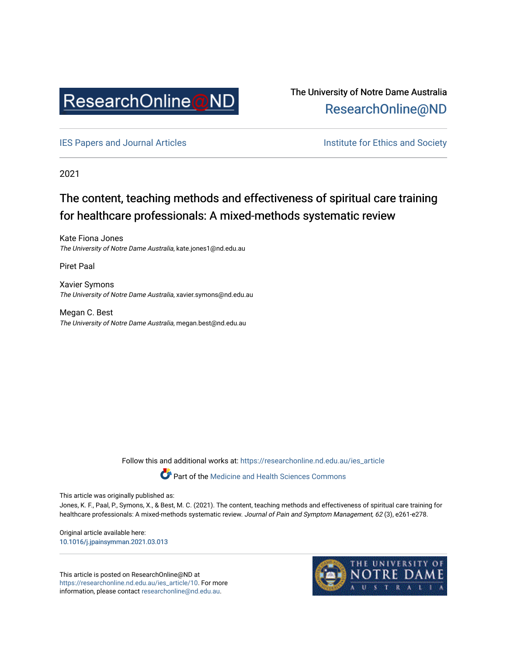

The University of Notre Dame Australia [ResearchOnline@ND](https://researchonline.nd.edu.au/) 

[IES Papers and Journal Articles](https://researchonline.nd.edu.au/ies_article) **Institute for Ethics and Society** Institute for Ethics and Society

2021

# The content, teaching methods and effectiveness of spiritual care training for healthcare professionals: A mixed-methods systematic review

Kate Fiona Jones The University of Notre Dame Australia, kate.jones1@nd.edu.au

Piret Paal

Xavier Symons The University of Notre Dame Australia, xavier.symons@nd.edu.au

Megan C. Best The University of Notre Dame Australia, megan.best@nd.edu.au

Follow this and additional works at: [https://researchonline.nd.edu.au/ies\\_article](https://researchonline.nd.edu.au/ies_article?utm_source=researchonline.nd.edu.au%2Fies_article%2F10&utm_medium=PDF&utm_campaign=PDFCoverPages) 

Part of the [Medicine and Health Sciences Commons](http://network.bepress.com/hgg/discipline/648?utm_source=researchonline.nd.edu.au%2Fies_article%2F10&utm_medium=PDF&utm_campaign=PDFCoverPages)

This article was originally published as:

Jones, K. F., Paal, P., Symons, X., & Best, M. C. (2021). The content, teaching methods and effectiveness of spiritual care training for healthcare professionals: A mixed-methods systematic review. Journal of Pain and Symptom Management, 62 (3), e261-e278.

Original article available here: [10.1016/j.jpainsymman.2021.03.013](https://doi.org/10.1016/j.jpainsymman.2021.03.013) 

This article is posted on ResearchOnline@ND at [https://researchonline.nd.edu.au/ies\\_article/10](https://researchonline.nd.edu.au/ies_article/10). For more information, please contact [researchonline@nd.edu.au.](mailto:researchonline@nd.edu.au)

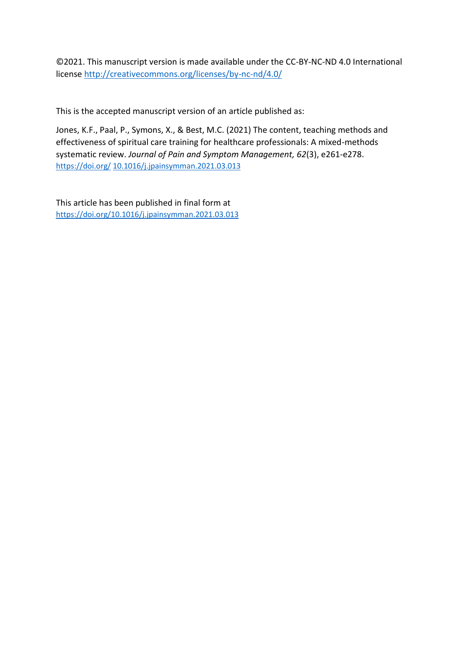©2021. This manuscript version is made available under the CC-BY-NC-ND 4.0 International license<http://creativecommons.org/licenses/by-nc-nd/4.0/>

This is the accepted manuscript version of an article published as:

Jones, K.F., Paal, P., Symons, X., & Best, M.C. (2021) The content, teaching methods and effectiveness of spiritual care training for healthcare professionals: A mixed-methods systematic review. *Journal of Pain and Symptom Management, 62*(3), e261-e278. https://doi.org/ [10.1016/j.jpainsymman.2021.03.013](https://doi.org/10.1016/j.ijer.2021.101754)

This article has been published in final form at [https://doi.org/10.1016/j.jpainsymman.2021.03.013](https://doi.org/10.1016/j.ijer.2021.101754)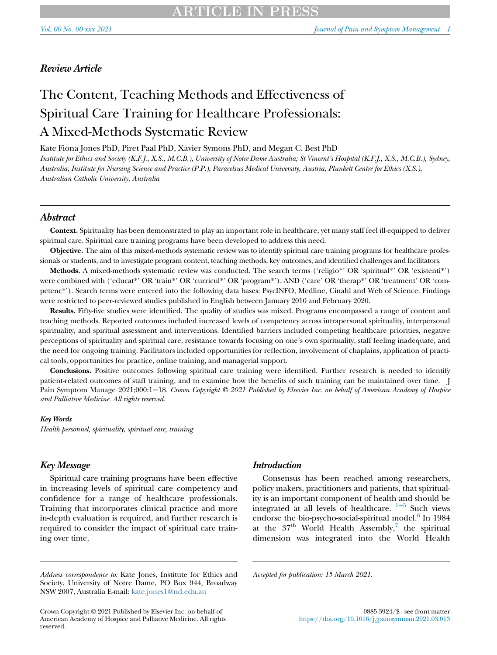# Review Article

# The Content, Teaching Methods and Effectiveness of Spiritual Care Training for Healthcare Professionals: A Mixed-Methods Systematic Review

Kate Fiona Jones PhD, Piret Paal PhD, Xavier Symons PhD, and Megan C. Best PhD

Institute for Ethics and Society (K.F.J., X.S., M.C.B.), University of Notre Dame Australia; St Vincent's Hospital (K.F.J., X.S., M.C.B.), Sydney, Australia; Institute for Nursing Science and Practice (P.P.), Paracelsus Medical University, Austria; Plunkett Centre for Ethics (X.S.), Australian Catholic University, Australia

# Abstract

Context. Spirituality has been demonstrated to play an important role in healthcare, yet many staff feel ill-equipped to deliver spiritual care. Spiritual care training programs have been developed to address this need.

Objective. The aim of this mixed-methods systematic review was to identify spiritual care training programs for healthcare professionals or students, and to investigate program content, teaching methods, key outcomes, and identified challenges and facilitators.

Methods. A mixed-methods systematic review was conducted. The search terms ('religio\*' OR 'spiritual\*' OR 'existenti\*') were combined with ('educat\*' OR 'train\*' OR 'curricul\*' OR 'program\*'), AND ('care' OR 'therap\*' OR 'treatment' OR 'competenc\*'). Search terms were entered into the following data bases: PsycINFO, Medline, Cinahl and Web of Science. Findings were restricted to peer-reviewed studies published in English between January 2010 and February 2020.

Results. Fifty-five studies were identified. The quality of studies was mixed. Programs encompassed a range of content and teaching methods. Reported outcomes included increased levels of competency across intrapersonal spirituality, interpersonal spirituality, and spiritual assessment and interventions. Identified barriers included competing healthcare priorities, negative perceptions of spirituality and spiritual care, resistance towards focusing on one's own spirituality, staff feeling inadequate, and the need for ongoing training. Facilitators included opportunities for reflection, involvement of chaplains, application of practical tools, opportunities for practice, online training, and managerial support.

Conclusions. Positive outcomes following spiritual care training were identified. Further research is needed to identify patient-related outcomes of staff training, and to examine how the benefits of such training can be maintained over time. J Pain Symptom Manage 2021;000:1−18. Crown Copyright © 2021 Published by Elsevier Inc. on behalf of American Academy of Hospice and Palliative Medicine. All rights reserved.

#### Key Words

Health personnel, spirituality, spiritual care, training

# Key Message

Spiritual care training programs have been effective in increasing levels of spiritual care competency and confidence for a range of healthcare professionals. Training that incorporates clinical practice and more in-depth evaluation is required, and further research is required to consider the impact of spiritual care training over time.

## Introduction

Consensus has been reached among researchers, policy makers, practitioners and patients, that spirituality is an important component of health and should be integrated at all levels of healthcare.  $1-5$  Such views endorse the bio-psycho-social-spiritual model. $6$  In 1984 at the  $37<sup>th</sup>$  $37<sup>th</sup>$  $37<sup>th</sup>$  World Health Assembly,<sup>7</sup> the spiritual dimension was integrated into the World Health

Accepted for publication: 15 March 2021.

Address correspondence to: Kate Jones, Institute for Ethics and Society, University of Notre Dame, PO Box 944, Broadway NSW 2007, Australia E-mail: [kate.jones1@nd.edu.au](mailto:kate.jones1@nd.edu.au)

Crown Copyright © 2021 Published by Elsevier Inc. on behalf of American Academy of Hospice and Palliative Medicine. All rights reserved.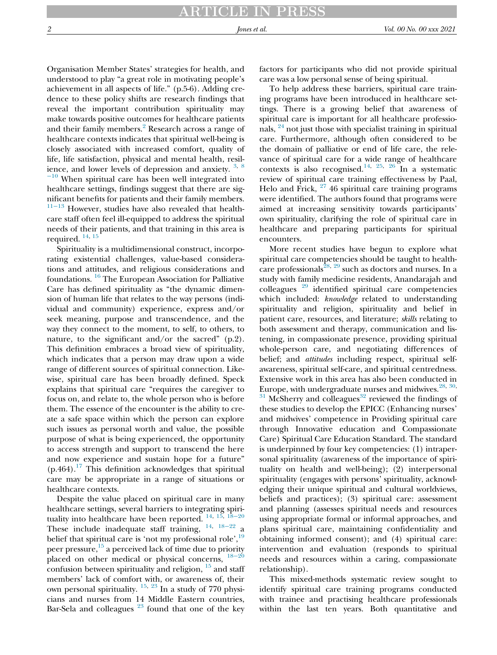Organisation Member States' strategies for health, and understood to play "a great role in motivating people's achievement in all aspects of life." (p.5-6). Adding credence to these policy shifts are research findings that reveal the important contribution spirituality may make towards positive outcomes for healthcare patients and their family members.<sup>[2](#page-16-2)</sup> Research across a range of healthcare contexts indicates that spiritual well-being is closely associated with increased comfort, quality of life, life satisfaction, physical and mental health, resil-ience, and lower levels of depression and anxiety. <sup>[3,](#page-16-3) [8](#page-16-4)</sup>

 $-10$  $-10$  When spiritual care has been well integrated into healthcare settings, findings suggest that there are significant benefits for patients and their family members. [11](#page-16-5)−<sup>13</sup> However, studies have also revealed that healthcare staff often feel ill-equipped to address the spiritual needs of their patients, and that training in this area is required. [14](#page-16-6), [15](#page-16-7)

Spirituality is a multidimensional construct, incorporating existential challenges, value-based considerations and attitudes, and religious considerations and foundations. [16](#page-16-8) The European Association for Palliative Care has defined spirituality as "the dynamic dimension of human life that relates to the way persons (individual and community) experience, express and/or seek meaning, purpose and transcendence, and the way they connect to the moment, to self, to others, to nature, to the significant and/or the sacred" (p.2). This definition embraces a broad view of spirituality, which indicates that a person may draw upon a wide range of different sources of spiritual connection. Likewise, spiritual care has been broadly defined. Speck explains that spiritual care "requires the caregiver to focus on, and relate to, the whole person who is before them. The essence of the encounter is the ability to create a safe space within which the person can explore such issues as personal worth and value, the possible purpose of what is being experienced, the opportunity to access strength and support to transcend the here and now experience and sustain hope for a future"  $(p.464).$ <sup>[17](#page-16-9)</sup> This definition acknowledges that spiritual care may be appropriate in a range of situations or healthcare contexts.

Despite the value placed on spiritual care in many healthcare settings, several barriers to integrating spirituality into healthcare have been reported.  $14, 15, 18-20$  $14, 15, 18-20$  $14, 15, 18-20$  $14, 15, 18-20$  $14, 15, 18-20$  $14, 15, 18-20$ These include inadequate staff training, [14](#page-16-6), <sup>18</sup>−[22](#page-16-10) a belief that spiritual care is 'not my professional role',<sup>[19](#page-16-11)</sup> peer pressure, $15$  a perceived lack of time due to priority placed on other medical or physical concerns, [18](#page-16-10)−<sup>20</sup> confusion between spirituality and religion,  $^{15}$  $^{15}$  $^{15}$  and staff members' lack of comfort with, or awareness of, their own personal spirituality.  $^{15, 23}$  $^{15, 23}$  $^{15, 23}$  $^{15, 23}$  $^{15, 23}$  In a study of 770 physicians and nurses from 14 Middle Eastern countries, Bar-Sela and colleagues  $23$  found that one of the key

factors for participants who did not provide spiritual care was a low personal sense of being spiritual.

To help address these barriers, spiritual care training programs have been introduced in healthcare settings. There is a growing belief that awareness of spiritual care is important for all healthcare professionals, [24](#page-16-13) not just those with specialist training in spiritual care. Furthermore, although often considered to be the domain of palliative or end of life care, the relevance of spiritual care for a wide range of healthcare contexts is also recognised.<sup>[14](#page-16-6), [25](#page-16-14), [26](#page-16-15)</sup> In a systematic review of spiritual care training effectiveness by Paal, Helo and Frick,  $27/46$  $27/46$  spiritual care training programs were identified. The authors found that programs were aimed at increasing sensitivity towards participants' own spirituality, clarifying the role of spiritual care in healthcare and preparing participants for spiritual encounters.

More recent studies have begun to explore what spiritual care competencies should be taught to health-care professionals<sup>[28](#page-16-17), [29](#page-16-18)</sup> such as doctors and nurses. In a study with family medicine residents, Anandarajah and colleagues  $29$  identified spiritual care competencies which included: knowledge related to understanding spirituality and religion, spirituality and belief in patient care, resources, and literature; skills relating to both assessment and therapy, communication and listening, in compassionate presence, providing spiritual whole-person care, and negotiating differences of belief; and *attitudes* including respect, spiritual selfawareness, spiritual self-care, and spiritual centredness. Extensive work in this area has also been conducted in Europe, with undergraduate nurses and midwives.  $28, 30,$  $28, 30,$  $28, 30,$  $28, 30,$ 

 $31$  McSherry and colleagues<sup>[32](#page-16-21)</sup> reviewed the findings of these studies to develop the EPICC (Enhancing nurses' and midwives' competence in Providing spiritual care through Innovative education and Compassionate Care) Spiritual Care Education Standard. The standard is underpinned by four key competencies: (1) intrapersonal spirituality (awareness of the importance of spirituality on health and well-being); (2) interpersonal spirituality (engages with persons' spirituality, acknowledging their unique spiritual and cultural worldviews, beliefs and practices); (3) spiritual care: assessment and planning (assesses spiritual needs and resources using appropriate formal or informal approaches, and plans spiritual care, maintaining confidentiality and obtaining informed consent); and (4) spiritual care: intervention and evaluation (responds to spiritual needs and resources within a caring, compassionate relationship).

This mixed-methods systematic review sought to identify spiritual care training programs conducted with trainee and practising healthcare professionals within the last ten years. Both quantitative and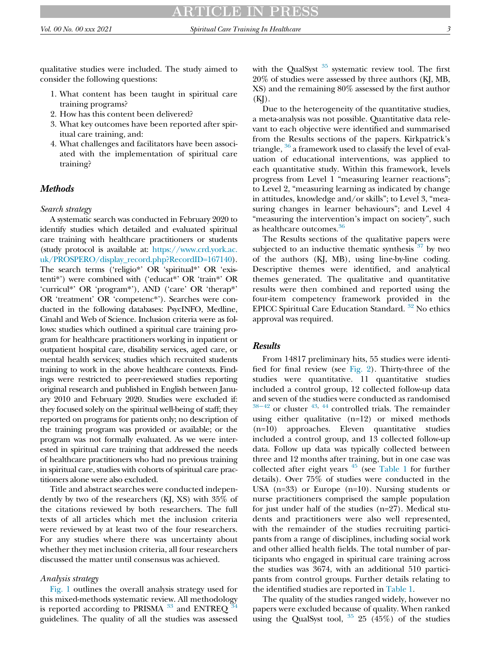qualitative studies were included. The study aimed to consider the following questions:

- 1. What content has been taught in spiritual care training programs?
- 2. How has this content been delivered?
- 3. What key outcomes have been reported after spiritual care training, and:
- 4. What challenges and facilitators have been associated with the implementation of spiritual care training?

# **Methods**

## Search strategy

A systematic search was conducted in February 2020 to identify studies which detailed and evaluated spiritual care training with healthcare practitioners or students (study protocol is available at: [https://www.crd.york.ac.](https://www.crd.york.ac.uk/PROSPERO/display_record.php?RecordID=167140) [uk/PROSPERO/display\\_record.php?RecordID=167140](https://www.crd.york.ac.uk/PROSPERO/display_record.php?RecordID=167140)). The search terms ('religio\*' OR 'spiritual\*' OR 'existenti\*') were combined with ('educat\*' OR 'train\*' OR 'curricul\*' OR 'program\*'), AND ('care' OR 'therap\*' OR 'treatment' OR 'competenc\*'). Searches were conducted in the following databases: PsycINFO, Medline, Cinahl and Web of Science. Inclusion criteria were as follows: studies which outlined a spiritual care training program for healthcare practitioners working in inpatient or outpatient hospital care, disability services, aged care, or mental health services; studies which recruited students training to work in the above healthcare contexts. Findings were restricted to peer-reviewed studies reporting original research and published in English between January 2010 and February 2020. Studies were excluded if: they focused solely on the spiritual well-being of staff; they reported on programs for patients only; no description of the training program was provided or available; or the program was not formally evaluated. As we were interested in spiritual care training that addressed the needs of healthcare practitioners who had no previous training in spiritual care, studies with cohorts of spiritual care practitioners alone were also excluded.

Title and abstract searches were conducted independently by two of the researchers (KJ, XS) with 35% of the citations reviewed by both researchers. The full texts of all articles which met the inclusion criteria were reviewed by at least two of the four researchers. For any studies where there was uncertainty about whether they met inclusion criteria, all four researchers discussed the matter until consensus was achieved.

## Analysis strategy

[Fig. 1](#page-5-0) outlines the overall analysis strategy used for this mixed-methods systematic review. All methodology is reported according to PRISMA  $33$  and ENTREQ [34](#page-16-23) guidelines. The quality of all the studies was assessed with the QualSyst <sup>[35](#page-16-24)</sup> systematic review tool. The first 20% of studies were assessed by three authors (KJ, MB, XS) and the remaining 80% assessed by the first author  $(KJ)$ .

Due to the heterogeneity of the quantitative studies, a meta-analysis was not possible. Quantitative data relevant to each objective were identified and summarised from the Results sections of the papers. Kirkpatrick's triangle, <sup>[36](#page-16-25)</sup> a framework used to classify the level of evaluation of educational interventions, was applied to each quantitative study. Within this framework, levels progress from Level 1 "measuring learner reactions"; to Level 2, "measuring learning as indicated by change in attitudes, knowledge and/or skills"; to Level 3, "measuring changes in learner behaviours"; and Level 4 "measuring the intervention's impact on society", such as healthcare outcomes.<sup>[36](#page-16-25)</sup>

The Results sections of the qualitative papers were subjected to an inductive thematic synthesis  $37$  by two of the authors (KJ, MB), using line-by-line coding. Descriptive themes were identified, and analytical themes generated. The qualitative and quantitative results were then combined and reported using the four-item competency framework provided in the EPICC Spiritual Care Education Standard. [32](#page-16-21) No ethics approval was required.

### Results

From 14817 preliminary hits, 55 studies were identified for final review (see [Fig. 2](#page-6-0)). Thirty-three of the studies were quantitative. 11 quantitative studies included a control group, 12 collected follow-up data [and s](#page-17-0)even of the studies were conducted as randomised  $38-42$  or cluster  $43, 44$  $43, 44$  $43, 44$  controlled trials. The remainder using either qualitative (n=12) or mixed methods (n=10) approaches. Eleven quantitative studies included a control group, and 13 collected follow-up data. Follow up data was typically collected between three and 12 months after training, but in one case was collected after eight years  $45$  (see [Table 1](#page-7-0) for further details). Over 75% of studies were conducted in the USA (n=33) or Europe (n=10). Nursing students or nurse practitioners comprised the sample population for just under half of the studies (n=27). Medical students and practitioners were also well represented, with the remainder of the studies recruiting participants from a range of disciplines, including social work and other allied health fields. The total number of participants who engaged in spiritual care training across the studies was 3674, with an additional 510 participants from control groups. Further details relating to the identified studies are reported in [Table 1](#page-7-0).

The quality of the studies ranged widely, however no papers were excluded because of quality. When ranked using the QualSyst tool,  $35\,25\,$  $35\,25\,$  (45%) of the studies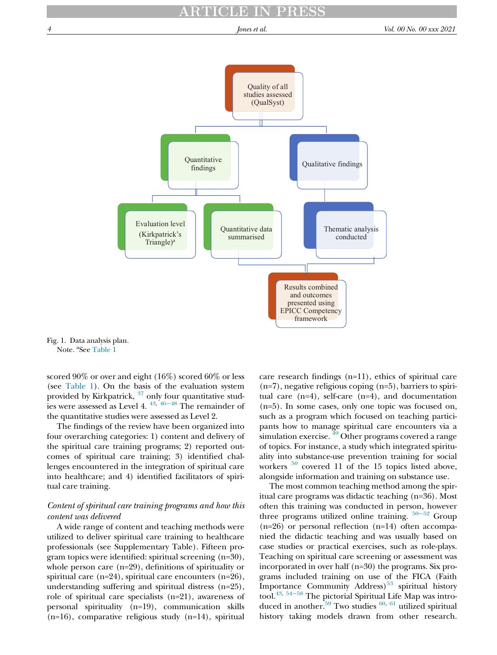<span id="page-5-0"></span>

Fig. 1. Data analysis plan. Note. <sup>a</sup>See [Table 1](#page-7-0)

scored 90% or over and eight (16%) scored 60% or less (see [Table 1](#page-7-0)). On the basis of the evaluation system provided by Kirkpatrick, <sup>[37](#page-16-26)</sup> onl[y four](#page-17-4) quantitative studies were assessed as Level 4.  $43, 46-48$  $43, 46-48$  The remainder of the quantitative studies were assessed as Level 2.

The findings of the review have been organized into four overarching categories: 1) content and delivery of the spiritual care training programs; 2) reported outcomes of spiritual care training; 3) identified challenges encountered in the integration of spiritual care into healthcare; and 4) identified facilitators of spiritual care training.

# Content of spiritual care training programs and how this content was delivered

A wide range of content and teaching methods were utilized to deliver spiritual care training to healthcare professionals (see Supplementary Table). Fifteen program topics were identified: spiritual screening (n=30), whole person care (n=29), definitions of spirituality or spiritual care (n=24), spiritual care encounters (n=26), understanding suffering and spiritual distress (n=25), role of spiritual care specialists (n=21), awareness of personal spirituality (n=19), communication skills (n=16), comparative religious study (n=14), spiritual care research findings (n=11), ethics of spiritual care (n=7), negative religious coping (n=5), barriers to spiritual care (n=4), self-care (n=4), and documentation (n=5). In some cases, only one topic was focused on, such as a program which focused on teaching participants how to manage spiritual care encounters via a simulation exercise.  $\frac{49}{9}$  $\frac{49}{9}$  $\frac{49}{9}$  Other programs covered a range of topics. For instance, a study which integrated spirituality into substance-use prevention training for social workers  $50$  covered 11 of the 15 topics listed above, alongside information and training on substance use.

The most common teaching method among the spiritual care programs was didactic teaching (n=36). Most often this training was conducted in person, however three programs utilized online training.  $50-52$  $50-52$  Group (n=26) or personal reflection (n=14) often accompanied the didactic teaching and was usually based on case studies or practical exercises, such as role-plays. Teaching on spiritual care screening or assessment was incorporated in over half (n=30) the programs. Six programs included training on use of the FICA (Faith Import[ance](#page-17-8) Community Address) $53$  spiritual history tool[.43,](#page-17-1) <sup>54</sup>−<sup>58</sup> The pictorial Spiritual Life Map was introduced in another.<sup>59</sup> Two studies  $60, 61$  $60, 61$  $60, 61$  utilized spiritual history taking models drawn from other research.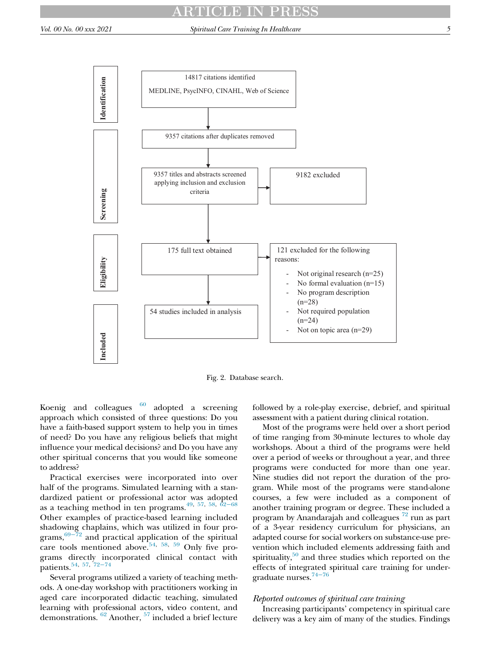<span id="page-6-0"></span>

Fig. 2. Database search.

Koenig and colleagues  $\frac{60}{2}$  $\frac{60}{2}$  $\frac{60}{2}$  adopted a screening approach which consisted of three questions: Do you have a faith-based support system to help you in times of need? Do you have any religious beliefs that might influence your medical decisions? and Do you have any other spiritual concerns that you would like someone to address?

Practical exercises were incorporated into over half of the programs. Simulated learning with a standardized patient or professional actor was adopted as a teaching method in ten programs.<sup>[49](#page-17-5), [57,](#page-17-12) [58](#page-17-13), 62–[68](#page-17-14)</sup> Other examples of practice-based learning included shadowing chaplains, which was utilized in four pro-grams,<sup>69−[72](#page-17-15)</sup> and practical application of the spiritual care tools mentioned above.<sup>[54,](#page-17-8) [58](#page-17-13), [59](#page-17-9)</sup> Only five programs directly incorporated clinical contact with patients.[54,](#page-17-8) [57](#page-17-12), <sup>72</sup>−[74](#page-18-0)

Several programs utilized a variety of teaching methods. A one-day workshop with practitioners working in aged care incorporated didactic teaching, simulated learning with professional actors, video content, and demonstrations. [62](#page-17-14) Another, [57](#page-17-12) included a brief lecture followed by a role-play exercise, debrief, and spiritual assessment with a patient during clinical rotation.

Most of the programs were held over a short period of time ranging from 30-minute lectures to whole day workshops. About a third of the programs were held over a period of weeks or throughout a year, and three programs were conducted for more than one year. Nine studies did not report the duration of the program. While most of the programs were stand-alone courses, a few were included as a component of another training program or degree. These included a program by Anandarajah and colleagues  $^{72}$  $^{72}$  $^{72}$  run as part of a 3-year residency curriculum for physicians, an adapted course for social workers on substance-use prevention which included elements addressing faith and spirituality, $50$  and three studies which reported on the effects of integrated spiritual care training for undergraduate nurses[.74](#page-18-1)<sup>−</sup><sup>76</sup>

# Reported outcomes of spiritual care training

Increasing participants' competency in spiritual care delivery was a key aim of many of the studies. Findings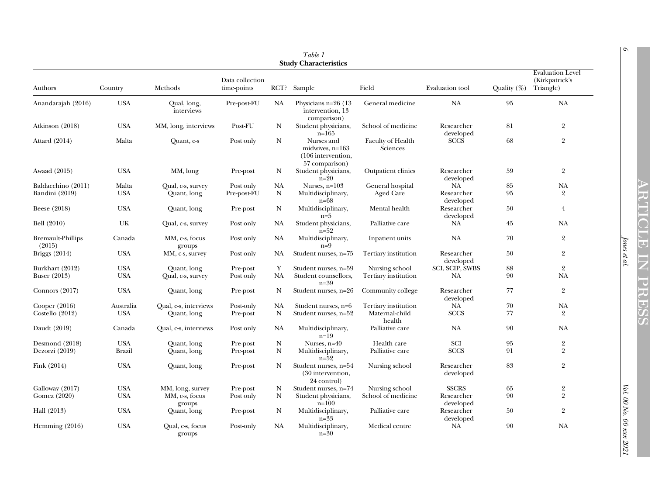<span id="page-7-0"></span>

| Table 1<br><b>Study Characteristics</b> |                             |                                      |                                |                   |                                                                       |                                        |                               |                |                                                        |
|-----------------------------------------|-----------------------------|--------------------------------------|--------------------------------|-------------------|-----------------------------------------------------------------------|----------------------------------------|-------------------------------|----------------|--------------------------------------------------------|
| Authors                                 | Country                     | Methods                              | Data collection<br>time-points |                   | RCT? Sample                                                           | Field                                  | Evaluation tool               | Quality $(\%)$ | <b>Evaluation Level</b><br>(Kirkpatrick's<br>Triangle) |
| Anandarajah (2016)                      | <b>USA</b>                  | Qual, long,<br>interviews            | Pre-post-FU                    | NA                | Physicians $n=26$ (13)<br>intervention, 13<br>comparison)             | General medicine                       | <b>NA</b>                     | 95             | NA                                                     |
| Atkinson (2018)                         | <b>USA</b>                  | MM, long, interviews                 | Post-FU                        | N                 | Student physicians,<br>$n = 165$                                      | School of medicine                     | Researcher<br>developed       | 81             | $\overline{2}$                                         |
| Attard (2014)                           | Malta                       | Ouant, c-s                           | Post only                      | N                 | Nurses and<br>midwives, n=163<br>(106 intervention,<br>57 comparison) | <b>Faculty of Health</b><br>Sciences   | <b>SCCS</b>                   | 68             | $\overline{2}$                                         |
| Awaad (2015)                            | <b>USA</b>                  | MM, long                             | Pre-post                       | N                 | Student physicians,<br>$n=20$                                         | Outpatient clinics                     | Researcher<br>developed       | 59             | $\overline{2}$                                         |
| Baldacchino (2011)<br>Bandini (2019)    | Malta<br><b>USA</b>         | Qual, c-s, survey<br>Quant, long     | Post only<br>Pre-post-FU       | NA<br>$\mathbf N$ | Nurses, $n=103$<br>Multidisciplinary,<br>$n=68$                       | General hospital<br>Aged Care          | NA<br>Researcher<br>developed | 85<br>95       | NA<br>$\overline{2}$                                   |
| Beese (2018)                            | <b>USA</b>                  | Quant, long                          | Pre-post                       | N                 | Multidisciplinary,<br>$n=5$                                           | Mental health                          | Researcher<br>developed       | 50             | $\overline{4}$                                         |
| Bell (2010)                             | UK                          | Oual, c-s, survey                    | Post only                      | NA                | Student physicians,<br>$n=52$                                         | Palliative care                        | <b>NA</b>                     | 45             | NA                                                     |
| <b>Bremault-Phillips</b><br>(2015)      | Canada                      | MM, c-s, focus<br>groups             | Post only                      | NA                | Multidisciplinary,<br>$n=9$                                           | Inpatient units                        | NA                            | 70             | $\overline{2}$                                         |
| <b>Briggs</b> (2014)                    | <b>USA</b>                  | MM, c-s, survey                      | Post only                      | NA                | Student nurses, n=75                                                  | Tertiary institution                   | Researcher<br>developed       | 50             | $\overline{2}$                                         |
| Burkhart (2012)<br>Buser (2013)         | <b>USA</b><br><b>USA</b>    | Ouant, long<br>Qual, c-s, survey     | Pre-post<br>Post only          | Y<br><b>NA</b>    | Student nurses, n=59<br>Student counsellors,<br>$n = 39$              | Nursing school<br>Tertiary institution | SCI, SCIP, SWBS<br>NA         | 88<br>90       | $\overline{2}$<br><b>NA</b>                            |
| Connors $(2017)$                        | <b>USA</b>                  | Quant, long                          | Pre-post                       | N                 | Student nurses, n=26                                                  | Community college                      | Researcher<br>developed       | 77             | $\overline{2}$                                         |
| Cooper $(2016)$<br>Costello $(2012)$    | Australia<br><b>USA</b>     | Qual, c-s, interviews<br>Quant, long | Post-only<br>Pre-post          | NA<br>N           | Student nurses, n=6<br>Student nurses, n=52                           | Tertiary institution<br>Maternal-child | <b>NA</b><br><b>SCCS</b>      | 70<br>77       | NA<br>$\overline{2}$                                   |
| Daudt (2019)                            | Canada                      | Qual, c-s, interviews                | Post only                      | NA                | Multidisciplinary,                                                    | health<br>Palliative care              | <b>NA</b>                     | 90             | NA                                                     |
|                                         |                             |                                      |                                |                   | $n=19$                                                                |                                        |                               |                |                                                        |
| Desmond $(2018)$<br>Dezorzi (2019)      | <b>USA</b><br><b>Brazil</b> | Quant, long<br>Quant, long           | Pre-post<br>Pre-post           | N<br>N            | Nurses, $n=40$<br>Multidisciplinary,<br>$n=52$                        | Health care<br>Palliative care         | SCI<br><b>SCCS</b>            | 95<br>91       | $\overline{2}$<br>$\overline{2}$                       |
| Fink $(2014)$                           | <b>USA</b>                  | Quant, long                          | Pre-post                       | N                 | Student nurses, n=54<br>(30 intervention,<br>24 control)              | Nursing school                         | Researcher<br>developed       | 83             | $\overline{2}$                                         |
| Galloway (2017)                         | <b>USA</b>                  | MM, long, survey                     | Pre-post                       | N                 | Student nurses, n=74                                                  | Nursing school                         | <b>SSCRS</b>                  | 65             | $\overline{2}$                                         |
| Gomez (2020)                            | <b>USA</b>                  | MM, c-s, focus<br>groups             | Post only                      | N                 | Student physicians,<br>$n=100$                                        | School of medicine                     | Researcher<br>developed       | 90             | $\overline{2}$                                         |
| Hall (2013)                             | <b>USA</b>                  | Quant, long                          | Pre-post                       | N                 | Multidisciplinary,<br>$n=33$                                          | Palliative care                        | Researcher<br>developed       | 50             | $\overline{2}$                                         |
| Hemming $(2016)$                        | <b>USA</b>                  | Qual, c-s, focus<br>groups           | Post-only                      | NA                | Multidisciplinary,<br>$n=30$                                          | Medical centre                         | <b>NA</b>                     | 90             | <b>NA</b>                                              |

Jones et al.

Jones et al.  $Vol. 00 N_0$ . 00  $N_0$ . 00  $N_0$ . 00  $x$ xx 2021  $\ensuremath{\text{Vol}}$ .00 No. 00 xxx $2021$ 

 $\sigma$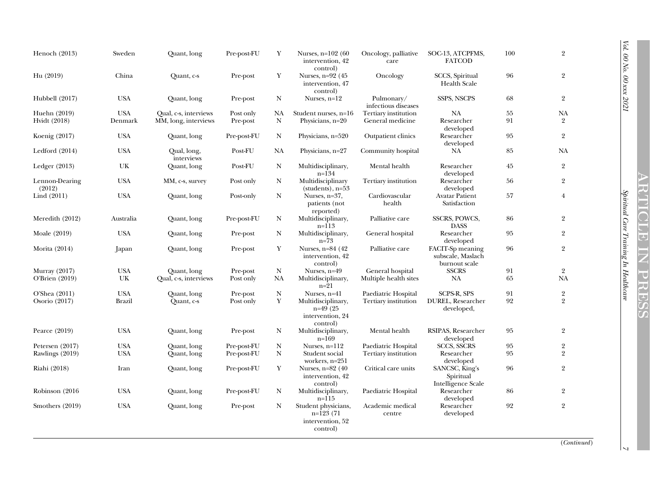| Henoch (2013)            | Sweden            | Quant, long               | Pre-post-FU | Y           | Nurses, $n=102(60)$<br>intervention, 42<br>control)                | Oncology, palliative<br>care      | SOC-13, ATCPFMS,<br><b>FATCOD</b>                      | 100 | $\overline{2}$ |
|--------------------------|-------------------|---------------------------|-------------|-------------|--------------------------------------------------------------------|-----------------------------------|--------------------------------------------------------|-----|----------------|
| Hu (2019)                | China             | Quant, c-s                | Pre-post    | $\mathbf Y$ | Nurses, $n=92$ (45)<br>intervention, 47<br>control)                | Oncology                          | SCCS, Spiritual<br><b>Health Scale</b>                 | 96  | $\overline{2}$ |
| Hubbell (2017)           | <b>USA</b>        | Quant, long               | Pre-post    | N           | Nurses, $n=12$                                                     | Pulmonary/<br>infectious diseases | <b>SSPS, NSCPS</b>                                     | 68  | $\overline{2}$ |
| Huehn (2019)             | <b>USA</b>        | Qual, c-s, interviews     | Post only   | NA          | Student nurses, n=16                                               | Tertiary institution              | NA                                                     | 55  | NA             |
| Hvidt (2018)             | Denmark           | MM, long, interviews      | Pre-post    | N           | Physicians, n=20                                                   | General medicine                  | Researcher<br>developed                                | 91  | $\overline{2}$ |
| Koenig (2017)            | <b>USA</b>        | Quant, long               | Pre-post-FU | N           | Physicians, n=520                                                  | Outpatient clinics                | Researcher<br>developed                                | 95  | $\overline{2}$ |
| Ledford $(2014)$         | <b>USA</b>        | Qual, long,<br>interviews | Post-FU     | NA          | Physicians, $n=27$                                                 | Community hospital                | <b>NA</b>                                              | 85  | <b>NA</b>      |
| Ledger $(2013)$          | UK                | Quant, long               | Post-FU     | $\mathbf N$ | Multidisciplinary,<br>$n = 134$                                    | Mental health                     | Researcher<br>developed                                | 45  | $\overline{2}$ |
| Lennon-Dearing<br>(2012) | $_{\mathrm{USA}}$ | MM, c-s, survey           | Post only   | ${\bf N}$   | Multidisciplinary<br>$(students), n=53$                            | Tertiary institution              | Researcher<br>developed                                | 56  | $\overline{2}$ |
| Lind (2011)              | <b>USA</b>        | Quant, long               | Post-only   | $\mathbf N$ | Nurses, $n=37$ ,<br>patients (not<br>reported)                     | Cardiovascular<br>health          | <b>Avatar Patient</b><br>Satisfaction                  | 57  | $\overline{4}$ |
| Meredith (2012)          | Australia         | Quant, long               | Pre-post-FU | N           | Multidisciplinary,<br>$n = 113$                                    | Palliative care                   | <b>SSCRS, POWCS,</b><br><b>DASS</b>                    | 86  | $\overline{2}$ |
| Moale (2019)             | <b>USA</b>        | Quant, long               | Pre-post    | N           | Multidisciplinary,<br>$n = 73$                                     | General hospital                  | Researcher<br>developed                                | 95  | $\overline{2}$ |
| Morita (2014)            | Japan             | Quant, long               | Pre-post    | Y           | Nurses, n=84 (42)<br>intervention, 42<br>control)                  | Palliative care                   | FACIT-Sp meaning<br>subscale, Maslach<br>burnout scale | 96  | $\overline{2}$ |
| Murray (2017)            | <b>USA</b>        | Quant, long               | Pre-post    | $\mathbf N$ | Nurses, n=49                                                       | General hospital                  | <b>SSCRS</b>                                           | 91  | $\overline{2}$ |
| O'Brien (2019)           | UK                | Qual, c-s, interviews     | Post only   | NA          | Multidisciplinary,<br>$n=21$                                       | Multiple health sites             | NA                                                     | 65  | <b>NA</b>      |
| O'Shea (2011)            | <b>USA</b>        | Quant, long               | Pre-post    | $\mathbf N$ | Nurses, $n=41$                                                     | Paediatric Hospital               | SCPS-R, SPS                                            | 91  | $\,2$          |
| Osorio $(2017)$          | <b>Brazil</b>     | Quant, c-s                | Post only   | Y           | Multidisciplinary,<br>$n=49(25)$<br>intervention, 24<br>control)   | Tertiary institution              | <b>DUREL, Researcher</b><br>developed,                 | 92  | $\overline{2}$ |
| Pearce (2019)            | <b>USA</b>        | Quant, long               | Pre-post    | N           | Multidisciplinary,<br>$n=169$                                      | Mental health                     | RSIPAS, Researcher<br>developed                        | 95  | $\overline{2}$ |
| Petersen (2017)          | <b>USA</b>        | Quant, long               | Pre-post-FU | $\mathbf N$ | Nurses, $n=112$                                                    | Paediatric Hospital               | <b>SCCS, SSCRS</b>                                     | 95  | $\overline{2}$ |
| Rawlings (2019)          | <b>USA</b>        | Quant, long               | Pre-post-FU | $\mathbf N$ | Student social<br>workers, $n=251$                                 | Tertiary institution              | Researcher<br>developed                                | 95  | $\overline{2}$ |
| Riahi (2018)             | Iran              | Quant, long               | Pre-post-FU | Y           | Nurses, n=82 (40<br>intervention, 42<br>control)                   | Critical care units               | SANCSC, King's<br>Spiritual<br>Intelligence Scale      | 96  | $\overline{2}$ |
| Robinson (2016)          | <b>USA</b>        | Quant, long               | Pre-post-FU | N           | Multidisciplinary,<br>$n=115$                                      | Paediatric Hospital               | Researcher<br>developed                                | 86  | $\overline{2}$ |
| Smothers (2019)          | <b>USA</b>        | Quant, long               | Pre-post    | N           | Student physicians,<br>$n=123(71)$<br>intervention, 52<br>control) | Academic medical<br>centre        | Researcher<br>developed                                | 92  | $\overline{2}$ |

(Continued)

 $\overline{v}$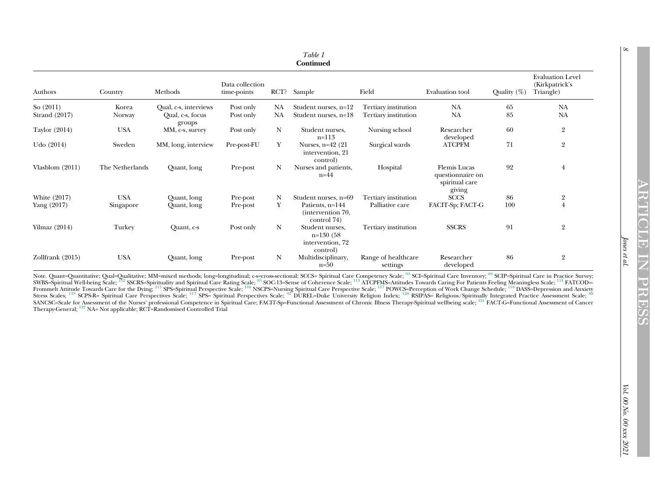| Table 1<br><b>Continued</b> |                 |                            |                                |           |                                                                |                                 |                                                                     |                |                                                        |
|-----------------------------|-----------------|----------------------------|--------------------------------|-----------|----------------------------------------------------------------|---------------------------------|---------------------------------------------------------------------|----------------|--------------------------------------------------------|
| Authors                     | Country         | Methods                    | Data collection<br>time-points | RCT?      | Sample                                                         | Field                           | Evaluation tool                                                     | Quality $(\%)$ | <b>Evaluation Level</b><br>(Kirkpatrick's<br>Triangle) |
| So $(2011)$                 | Korea           | Qual, c-s, interviews      | Post only                      | NA        | Student nurses, n=12                                           | Tertiary institution            | <b>NA</b>                                                           | 65             | <b>NA</b>                                              |
| Strand (2017)               | Norway          | Qual, c-s, focus<br>groups | Post only                      | <b>NA</b> | Student nurses, n=18                                           | Tertiary institution            | <b>NA</b>                                                           | 85             | <b>NA</b>                                              |
| Taylor (2014)               | <b>USA</b>      | MM, c-s, survey            | Post only                      | N         | Student nurses.<br>$n = 113$                                   | Nursing school                  | Researcher<br>developed                                             | 60             | $\overline{2}$                                         |
| Udo $(2014)$                | Sweden          | MM, long, interview        | Pre-post-FU                    | Y         | Nurses, $n=42$ (21)<br>intervention, 21<br>control)            | Surgical wards                  | <b>ATCPFM</b>                                                       | 71             | $\overline{2}$                                         |
| Vlasblom $(2011)$           | The Netherlands | Quant, long                | Pre-post                       | N         | Nurses and patients,<br>$n=44$                                 | Hospital                        | <b>Flemis</b> Lucas<br>questionnaire on<br>spiritual care<br>giving | 92             | $\overline{4}$                                         |
| White (2017)                | <b>USA</b>      | Quant, long                | Pre-post                       | N         | Student nurses, n=69                                           | Tertiary institution            | <b>SCCS</b>                                                         | 86             | $\overline{2}$                                         |
| Yang (2017)                 | Singapore       | Quant, long                | Pre-post                       | Y         | Patients, n=144<br>(intervention 70,<br>control 74)            | Palliative care                 | FACIT-Sp; FACT-G                                                    | 100            | $\overline{4}$                                         |
| Yilmaz $(2014)$             | Turkey          | Quant, c-s                 | Post only                      | N         | Student nurses,<br>$n=130(58)$<br>intervention, 72<br>control) | Tertiary institution            | <b>SSCRS</b>                                                        | 91             | $\overline{2}$                                         |
| Zollfrank (2015)            | <b>USA</b>      | Quant, long                | Pre-post                       | N         | Multidisciplinary,<br>$n=50$                                   | Range of healthcare<br>settings | Researcher<br>developed                                             | 86             | $\overline{2}$                                         |

Note. Quant=Quantitative; Qual=Qualitative; MM=mixed methods; long=longitudinal; c-s=cross-sectional; SCCS= Spiritual Care Competency Scale; [93](#page-18-2) SCI=Spiritual Care Inventory; [89](#page-18-3) SCIP=Spiritual Care in Practice Survey; SWBS=Spiritual Well-being Scale; [112](#page-19-0) SSCRS=Spirituality and Spiritual Care Rating Scale; [85](#page-18-4) SOC-13=Sense of Coherence Scale; [113](#page-19-1) ATCPFMS=Attitudes Towards Caring For Patients Feeling Meaningless Scale; <sup>[114](#page-19-2)</sup> FATCOD=-Frommelt Attitude Towards Care for the Dying; <sup>[115](#page-19-3)</sup> SPS=Spiritual Perspective Scale; <sup>[116](#page-19-4)</sup> NSCPS=Nursing Spiritual Care Perspective Scale; <sup>[117](#page-19-5)</sup> POWCS=Perception of Work Change Schedule; <sup>[118](#page-19-6)</sup> DASS=Depression and Anxiety Stress Scales; <sup>[119](#page-19-7)</sup> SCPS-R= Spiritual Care Perspectives Scale; <sup>[117](#page-19-5)</sup> SPS= Spiritual Perspectives Scale; <sup>[91](#page-18-5)</sup> DUREL=Duke University Religion Index; <sup>[120](#page-19-8)</sup> RSIPAS= Religious/Spiritually Integrated Practice Assessment Scale; SANCSC=Scale for Assessment of the Nurses' professional Competence in Spiritual Care; FACIT-Sp=Functional Assessment of Chronic Illness Therapy-Spiritual wellbeing scale; <sup>[121](#page-19-9)</sup> FACT-G=Functional Assessment of Cancer Therapy-General; <sup>[122](#page-19-10)</sup> NA= Not applicable; RCT=Randomised Controlled Trial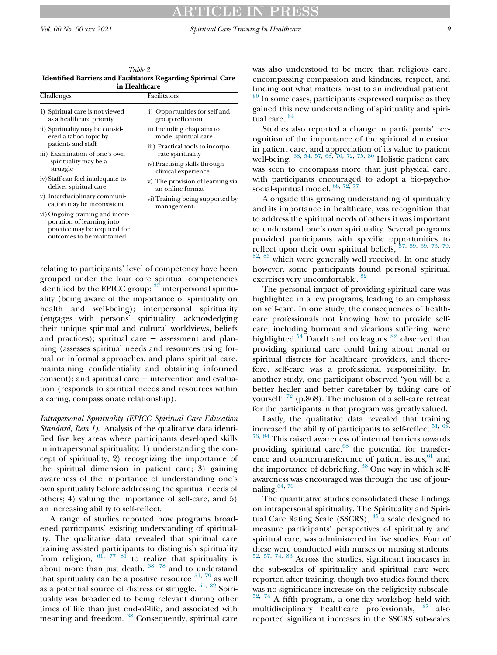<span id="page-10-0"></span>Table 2 Identified Barriers and Facilitators Regarding Spiritual Care in Healthca

| m neannan                                                                                                                 |                                                       |  |  |  |  |  |
|---------------------------------------------------------------------------------------------------------------------------|-------------------------------------------------------|--|--|--|--|--|
| Challenges                                                                                                                | Facilitators                                          |  |  |  |  |  |
| i) Spiritual care is not viewed<br>as a healthcare priority                                                               | i) Opportunities for self and<br>group reflection     |  |  |  |  |  |
| ii) Spirituality may be consid-<br>ered a taboo topic by<br>patients and staff                                            | ii) Including chaplains to<br>model spiritual care    |  |  |  |  |  |
| iii) Examination of one's own                                                                                             | iii) Practical tools to incorpo-<br>rate spirituality |  |  |  |  |  |
| spirituality may be a<br>struggle                                                                                         | iv) Practising skills through<br>clinical experience  |  |  |  |  |  |
| iv) Staff can feel inadequate to<br>deliver spiritual care                                                                | v) The provision of learning via<br>an online format  |  |  |  |  |  |
| v) Interdisciplinary communi-<br>cation may be inconsistent                                                               | vi) Training being supported by<br>management.        |  |  |  |  |  |
| vi) Ongoing training and incor-<br>poration of learning into<br>practice may be required for<br>outcomes to be maintained |                                                       |  |  |  |  |  |

relating to participants' level of competency have been grouped under the four core spiritual competencies identified by the EPICC group:  $32$  interpersonal spirituality (being aware of the importance of spirituality on health and well-being); interpersonal spirituality (engages with persons' spirituality, acknowledging their unique spiritual and cultural worldviews, beliefs and practices); spiritual care − assessment and planning (assesses spiritual needs and resources using formal or informal approaches, and plans spiritual care, maintaining confidentiality and obtaining informed consent); and spiritual care − intervention and evaluation (responds to spiritual needs and resources within a caring, compassionate relationship).

Intrapersonal Spirituality (EPICC Spiritual Care Education Standard, Item 1). Analysis of the qualitative data identified five key areas where participants developed skills in intrapersonal spirituality: 1) understanding the concept of spirituality; 2) recognizing the importance of the spiritual dimension in patient care; 3) gaining awareness of the importance of understanding one's own spirituality before addressing the spiritual needs of others; 4) valuing the importance of self-care, and 5) an increasing ability to self-reflect.

A range of studies reported how programs broadened participants' existing understanding of spirituality. The qualitative data revealed that spiritual care training assisted p[articip](#page-18-7)ants to distinguish spirituality from religion,  $61, 77-81$  $61, 77-81$  to realize that spirituality is about more than just death,  $38, 78$  $38, 78$  $38, 78$  and to understand that spirituality can be a positive resource  $51, 79$  $51, 79$  $51, 79$  as well as a potential source of distress or struggle.  $51, 82$  $51, 82$  $51, 82$  Spirituality was broadened to being relevant during other times of life than just end-of-life, and associated with meaning and freedom.<sup>[38](#page-17-0)</sup> Consequently, spiritual care

was also understood to be more than religious care, encompassing compassion and kindness, respect, and finding out what matters most to an individual patient.

<sup>[80](#page-18-11)</sup> In some cases, participants expressed surprise as they gained this new understanding of spirituality and spiritual care. [64](#page-17-17)

Studies also reported a change in participants' recognition of the importance of the spiritual dimension in patient care, and appreciation of its value to patient well-being. <sup>[38](#page-17-0), [54](#page-17-8), [57,](#page-17-12) [68](#page-17-18), [70](#page-17-19), [72,](#page-18-0) [75](#page-18-12), [80](#page-18-11)</sup> Holistic patient care was seen to encompass more than just physical care, with participants encouraged to adopt a bio-psychosocial-spiritual model.  $^{68, 72, 77}$  $^{68, 72, 77}$  $^{68, 72, 77}$  $^{68, 72, 77}$  $^{68, 72, 77}$  $^{68, 72, 77}$  $^{68, 72, 77}$ 

Alongside this growing understanding of spirituality and its importance in healthcare, was recognition that to address the spiritual needs of others it was important to understand one's own spirituality. Several programs provided participants with specific opportunities to reflect upon their own spiritual beliefs,  $57, 59, 69, 73, 79,$  $57, 59, 69, 73, 79,$  $57, 59, 69, 73, 79,$  $57, 59, 69, 73, 79,$  $57, 59, 69, 73, 79,$  $57, 59, 69, 73, 79,$  $57, 59, 69, 73, 79,$  $57, 59, 69, 73, 79,$  $57, 59, 69, 73, 79,$  $57, 59, 69, 73, 79,$ [82](#page-18-10), [83](#page-18-14) which were generally well received. In one study however, some participants found personal spiritual

exercises very uncomfortable.  $82$ 

The personal impact of providing spiritual care was highlighted in a few programs, leading to an emphasis on self-care. In one study, the consequences of healthcare professionals not knowing how to provide selfcare, including burnout and vicarious suffering, were highlighted. $54$  Daudt and colleagues  $82$  observed that providing spiritual care could bring about moral or spiritual distress for healthcare providers, and therefore, self-care was a professional responsibility. In another study, one participant observed "you will be a better healer and better caretaker by taking care of yourself"  $^{72}$  $^{72}$  $^{72}$  (p.868). The inclusion of a self-care retreat for the participants in that program was greatly valued.

Lastly, the qualitative data revealed that training increased the ability of participants to self-reflect.<sup>[51,](#page-17-16) [68](#page-17-18)</sup>, [73](#page-18-13), [84](#page-18-15) This raised awareness of internal barriers towards providing spiritual care,<sup>[68](#page-17-18)</sup> the potential for transference and countertransference of patient issues,  $61$  and the importance of debriefing.  $38$  One way in which selfawareness was encouraged was through the use of journaling. $64, 70$  $64, 70$ 

The quantitative studies consolidated these findings on intrapersonal spirituality. The Spirituality and Spiri-tual Care Rating Scale (SSCRS), <sup>[85](#page-18-16)</sup> a scale designed to measure participants' perspectives of spirituality and spiritual care, was administered in five studies. Four of these were conducted with nurses or nursing students. [52](#page-17-20), [57,](#page-17-12) [74](#page-18-1), [86](#page-18-17) Across the studies, significant increases in the sub-scales of spirituality and spiritual care were reported after training, though two studies found there was no significance increase on the religiosity subscale.  $52, 74$  $52, 74$  $52, 74$  A fifth program, a one-day workshop held with multidisciplinary healthcare professionals, <sup>[87](#page-18-18)</sup> also reported significant increases in the SSCRS sub-scales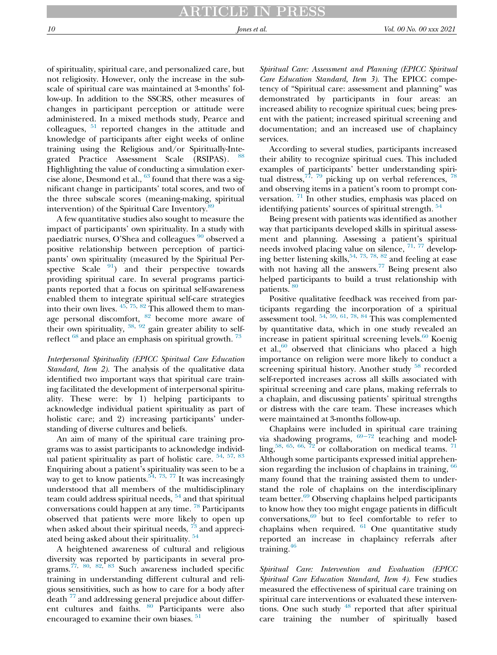# ARTICLE IN PRESS

of spirituality, spiritual care, and personalized care, but not religiosity. However, only the increase in the subscale of spiritual care was maintained at 3-months' follow-up. In addition to the SSCRS, other measures of changes in participant perception or attitude were administered. In a mixed methods study, Pearce and colleagues,  $51$  reported changes in the attitude and knowledge of participants after eight weeks of online training using the Religious and/or Spiritually-Integrated Practice Assessment Scale (RSIPAS). Highlighting the value of conducting a simulation exercise alone, Desmond et al.,  $^{63}$  $^{63}$  $^{63}$  found that there was a significant change in participants' total scores, and two of the three subscale scores (meaning-making, spiritual intervention) of the Spiritual Care Inventory.<sup>8</sup>

A few quantitative studies also sought to measure the impact of participants' own spirituality. In a study with paediatric nurses, O'Shea and colleagues <sup>[90](#page-18-21)</sup> observed a positive relationship between perception of participants' own spirituality (measured by the Spiritual Perspective Scale  $\frac{91}{2}$  $\frac{91}{2}$  $\frac{91}{2}$  and their perspective towards providing spiritual care. In several programs participants reported that a focus on spiritual self-awareness enabled them to integrate spiritual self-care strategies into their own lives.  $45, 75, 82$  $45, 75, 82$  $45, 75, 82$  $45, 75, 82$  $45, 75, 82$  This allowed them to manage personal discomfort,  $82$  become more aware of their own spirituality,  $38, 92$  $38, 92$  $38, 92$  gain greater ability to selfreflect  $^{68}$  $^{68}$  $^{68}$  and place an emphasis on spiritual growth.  $^{73}$  $^{73}$  $^{73}$ 

Interpersonal Spirituality (EPICC Spiritual Care Education Standard, Item 2). The analysis of the qualitative data identified two important ways that spiritual care training facilitated the development of interpersonal spirituality. These were: by 1) helping participants to acknowledge individual patient spirituality as part of holistic care; and 2) increasing participants' understanding of diverse cultures and beliefs.

An aim of many of the spiritual care training programs was to assist participants to acknowledge individ-ual patient spirituality as part of holistic care. <sup>[54](#page-17-8), [57](#page-17-12), [83](#page-18-14)</sup> Enquiring about a patient's spirituality was seen to be a way to get to know patients.<sup>[54,](#page-17-8) [73](#page-18-13), [77](#page-18-7)</sup> It was increasingly understood that all members of the multidisciplinary team could address spiritual needs,  $54$  and that spiritual conversations could happen at any time. [78](#page-18-8) Participants observed that patients were more likely to open up when asked about their spiritual needs,  $73$  and appreci-ated being asked about their spirituality.<sup>[54](#page-17-8)</sup>

A heightened awareness of cultural and religious diversity was reported by participants in several pro-grams.<sup>[77,](#page-18-7) [80,](#page-18-11) [82,](#page-18-10) [83](#page-18-14)</sup> Such awareness included specific training in understanding different cultural and religious sensitivities, such as how to care for a body after death  $\frac{77}{4}$  $\frac{77}{4}$  $\frac{77}{4}$  and addressing general prejudice about differ-ent cultures and faiths. <sup>[80](#page-18-11)</sup> Participants were also encouraged to examine their own biases.<sup>[51](#page-17-16)</sup>

Spiritual Care: Assessment and Planning (EPICC Spiritual Care Education Standard, Item 3). The EPICC competency of "Spiritual care: assessment and planning" was demonstrated by participants in four areas: an increased ability to recognize spiritual cues; being present with the patient; increased spiritual screening and documentation; and an increased use of chaplaincy services.

According to several studies, participants increased their ability to recognize spiritual cues. This included examples of participants' better understanding spiritual distress,  $77, 79$  $77, 79$  $77, 79$  picking up on verbal references,  $78$ and observing items in a patient's room to prompt conversation.  $71$  In other studies, emphasis was placed on identifying patients' sources of spiritual strength. <sup>[54](#page-17-8)</sup>

Being present with patients was identified as another way that participants developed skills in spiritual assessment and planning. Assessing a patient's spiritual needs involved placing value on silence, [71](#page-18-24), [77](#page-18-7) developing better listening skills,  $54, 73, 78, 82$  $54, 73, 78, 82$  $54, 73, 78, 82$  $54, 73, 78, 82$  $54, 73, 78, 82$  $54, 73, 78, 82$  $54, 73, 78, 82$  and feeling at ease with not having all the answers. $77$  Being present also helped participants to build a trust relationship with patients. [80](#page-18-11)

Positive qualitative feedback was received from participants regarding the incorporation of a spiritual assessment tool.  $^{54, 59, 61, 78, 84}$  $^{54, 59, 61, 78, 84}$  $^{54, 59, 61, 78, 84}$  $^{54, 59, 61, 78, 84}$  $^{54, 59, 61, 78, 84}$  $^{54, 59, 61, 78, 84}$  $^{54, 59, 61, 78, 84}$  $^{54, 59, 61, 78, 84}$  $^{54, 59, 61, 78, 84}$  $^{54, 59, 61, 78, 84}$  $^{54, 59, 61, 78, 84}$  This was complemented by quantitative data, which in one study revealed an increase in patient spiritual screening levels. $60$  Koenig et al., $\frac{60}{6}$  $\frac{60}{6}$  $\frac{60}{6}$  observed that clinicians who placed a high importance on religion were more likely to conduct a screening spiritual history. Another study <sup>[58](#page-17-13)</sup> recorded self-reported increases across all skills associated with spiritual screening and care plans, making referrals to a chaplain, and discussing patients' spiritual strengths or distress with the care team. These increases which were maintained at 3-months follow-up.

Chaplains were includ[ed in](#page-17-15) spiritual care training via shadowing programs,  $69-72$  teaching and model-ling,<sup>[58,](#page-17-13) [65,](#page-17-22) [66](#page-17-23), [72](#page-18-0)</sup> or collaboration on medical teams.  $^{71}$  $^{71}$  $^{71}$ Although some participants expressed initial apprehension regarding the inclusion of chaplains in training,  $66$ many found that the training assisted them to understand the role of chaplains on the interdisciplinary team better.<sup>[69](#page-17-15)</sup> Observing chaplains helped participants to know how they too might engage patients in difficult conversations,[69](#page-17-15) but to feel comfortable to refer to chaplains when required.  $61$  One quantitative study reported an increase in chaplaincy referrals after training. $46$ 

Spiritual Care: Intervention and Evaluation (EPICC Spiritual Care Education Standard, Item 4). Few studies measured the effectiveness of spiritual care training on spiritual care interventions or evaluated these interventions. One such study  $48$  reported that after spiritual care training the number of spiritually based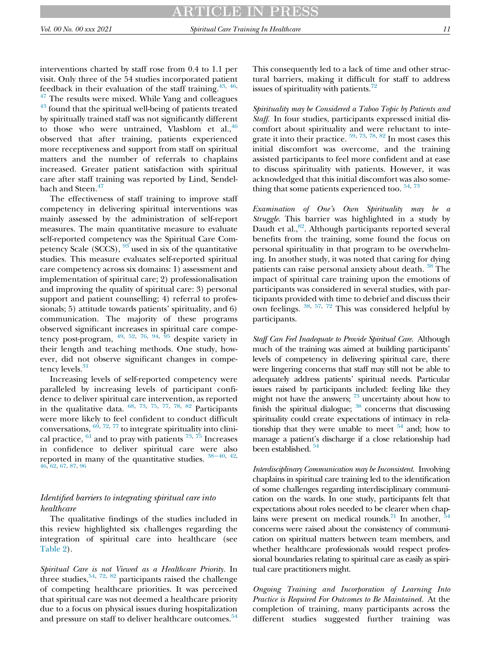interventions charted by staff rose from 0.4 to 1.1 per visit. Only three of the 54 studies incorporated patient feedback in their evaluation of the staff training.  $43, 46$  $43, 46$  $43, 46$ ,  $47$  The results were mixed. While Yang and colleagues <sup>[43](#page-17-1)</sup> found that the spiritual well-being of patients treated by spiritually trained staff was not significantly different to those who were untrained, Vlasblom et al., $46$ observed that after training, patients experienced more receptiveness and support from staff on spiritual matters and the number of referrals to chaplains increased. Greater patient satisfaction with spiritual care after staff training was reported by Lind, Sendel-bach and Steen.<sup>[47](#page-17-25)</sup>

The effectiveness of staff training to improve staff competency in delivering spiritual interventions was mainly assessed by the administration of self-report measures. The main quantitative measure to evaluate self-reported competency was the Spiritual Care Com-petency Scale (SCCS), <sup>[93](#page-18-25)</sup> used in six of the quantitative studies. This measure evaluates self-reported spiritual care competency across six domains: 1) assessment and implementation of spiritual care; 2) professionalisation and improving the quality of spiritual care: 3) personal support and patient counselling; 4) referral to professionals; 5) attitude towards patients' spirituality, and 6) communication. The majority of these programs observed significant increases in spiritual care compe-tency post-program, <sup>[49](#page-17-5), [52](#page-17-20), [76](#page-18-26), [94](#page-18-27), [95](#page-18-28)</sup> despite variety in their length and teaching methods. One study, however, did not observe significant changes in compe-tency levels.<sup>[31](#page-16-20)</sup>

Increasing levels of self-reported competency were paralleled by increasing levels of participant confidence to deliver spiritual care intervention, as reported in the qualitative data.  $^{68, 73, 75, 77, 78, 82}$  $^{68, 73, 75, 77, 78, 82}$  $^{68, 73, 75, 77, 78, 82}$  $^{68, 73, 75, 77, 78, 82}$  $^{68, 73, 75, 77, 78, 82}$  $^{68, 73, 75, 77, 78, 82}$  $^{68, 73, 75, 77, 78, 82}$  $^{68, 73, 75, 77, 78, 82}$  $^{68, 73, 75, 77, 78, 82}$  $^{68, 73, 75, 77, 78, 82}$  $^{68, 73, 75, 77, 78, 82}$  $^{68, 73, 75, 77, 78, 82}$  $^{68, 73, 75, 77, 78, 82}$  Participants were more likely to feel confident to conduct difficult conversations,  $^{66, 72, 77}$  $^{66, 72, 77}$  $^{66, 72, 77}$  $^{66, 72, 77}$  $^{66, 72, 77}$  to integrate spirituality into clinical practice,  $61$  and to pray with patients  $73, 75$  $73, 75$  $73, 75$  Increases in confidence to deliver spiritual care w[ere a](#page-17-0)lso reported in many of the quantitative studies.  $38-40$ ,  $42$ , [46](#page-17-4), [62](#page-17-14), [67](#page-17-27), [87](#page-18-18), [96](#page-18-29)

# Identified barriers to integrating spiritual care into healthcare

The qualitative findings of the studies included in this review highlighted six challenges regarding the integration of spiritual care into healthcare (see [Table 2\)](#page-10-0).

Spiritual Care is not Viewed as a Healthcare Priority. In three studies,  $54, 72, 82$  $54, 72, 82$  $54, 72, 82$  $54, 72, 82$  $54, 72, 82$  participants raised the challenge of competing healthcare priorities. It was perceived that spiritual care was not deemed a healthcare priority due to a focus on physical issues during hospitalization and pressure on staff to deliver healthcare outcomes.<sup>[54](#page-17-8)</sup>

This consequently led to a lack of time and other structural barriers, making it difficult for staff to address issues of spirituality with patients. $72$ 

Spirituality may be Considered a Taboo Topic by Patients and Staff. In four studies, participants expressed initial discomfort about spirituality and were reluctant to integrate it into their practice.  $59, 73, 78, 82$  $59, 73, 78, 82$  $59, 73, 78, 82$  $59, 73, 78, 82$  $59, 73, 78, 82$  $59, 73, 78, 82$  $59, 73, 78, 82$  In most cases this initial discomfort was overcome, and the training assisted participants to feel more confident and at ease to discuss spirituality with patients. However, it was acknowledged that this initial discomfort was also some-thing that some patients experienced too.<sup>[54,](#page-17-8)[73](#page-18-13)</sup>

Examination of One's Own Spirituality may be a Struggle. This barrier was highlighted in a study by Daudt et al.,<sup>82</sup>. Although participants reported several benefits from the training, some found the focus on personal spirituality in that program to be overwhelming. In another study, it was noted that caring for dying patients can raise personal anxiety about death. <sup>[38](#page-17-0)</sup> The impact of spiritual care training upon the emotions of participants was considered in several studies, with participants provided with time to debrief and discuss their own feelings.  $38, 57, 72$  $38, 57, 72$  $38, 57, 72$  $38, 57, 72$  $38, 57, 72$  This was considered helpful by participants.

Staff Can Feel Inadequate to Provide Spiritual Care. Although much of the training was aimed at building participants' levels of competency in delivering spiritual care, there were lingering concerns that staff may still not be able to adequately address patients' spiritual needs. Particular issues raised by participants included: feeling like they might not have the answers;  $^{73}$  $^{73}$  $^{73}$  uncertainty about how to finish the spiritual dialogue; <sup>[38](#page-17-0)</sup> concerns that discussing spirituality could create expectations of intimacy in relationship that they were unable to meet  $54$  and; how to manage a patient's discharge if a close relationship had been established.<sup>[54](#page-17-8)</sup>

Interdisciplinary Communication may be Inconsistent. Involving chaplains in spiritual care training led to the identification of some challenges regarding interdisciplinary communication on the wards. In one study, participants felt that expectations about roles needed to be clearer when chaplains were present on medical rounds.<sup>71</sup> In another,  $\frac{5}{5}$ concerns were raised about the consistency of communication on spiritual matters between team members, and whether healthcare professionals would respect professional boundaries relating to spiritual care as easily as spiritual care practitioners might.

Ongoing Training and Incorporation of Learning Into Practice is Required For Outcomes to Be Maintained. At the completion of training, many participants across the different studies suggested further training was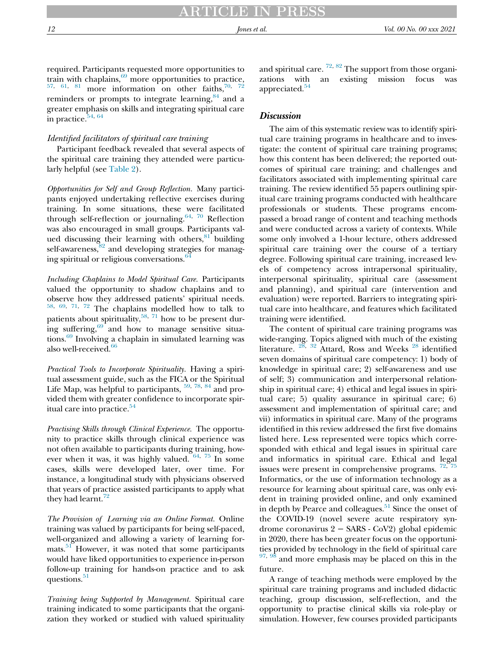required. Participants requested more opportunities to train with chaplains,<sup>69</sup> more opportunities to practice,  $t^{57}$ ,  $t^{61}$  $t^{61}$  $t^{61}$ ,  $81$  more information on other faiths,<sup>[70](#page-17-19), [72](#page-18-0)</sup> reminders or prompts to integrate learning,  $84$  and a greater emphasis on skills and integrating spiritual care in practice.<sup>[54,](#page-17-8) [64](#page-17-17)</sup>

# Identified facilitators of spiritual care training

Participant feedback revealed that several aspects of the spiritual care training they attended were particularly helpful (see [Table 2](#page-10-0)).

Opportunities for Self and Group Reflection. Many participants enjoyed undertaking reflective exercises during training. In some situations, these were facilitated through self-reflection or journaling.<sup>[64,](#page-17-17) [70](#page-17-19)</sup> Reflection was also encouraged in small groups. Participants valued discussing their learning with others,  $81$  building self-awareness,<sup>[82](#page-18-10)</sup> and developing strategies for managing spiritual or religious conversations.<sup>6</sup>

Including Chaplains to Model Spiritual Care. Participants valued the opportunity to shadow chaplains and to observe how they addressed patients' spiritual needs. [58,](#page-17-13) [69](#page-17-15), [71,](#page-18-24) [72](#page-18-0) The chaplains modelled how to talk to patients about spirituality,<sup>[58](#page-17-13), [71](#page-18-24)</sup> how to be present during suffering, $69$  and how to manage sensitive situa-tions.<sup>[69](#page-17-15)</sup> Involving a chaplain in simulated learning was also well-received.<sup>[66](#page-17-23)</sup>

Practical Tools to Incorporate Spirituality. Having a spiritual assessment guide, such as the FICA or the Spiritual Life Map, was helpful to participants,  $59, 78, 84$  $59, 78, 84$  $59, 78, 84$  $59, 78, 84$  $59, 78, 84$  and provided them with greater confidence to incorporate spiritual care into practice.<sup>54</sup>

Practising Skills through Clinical Experience. The opportunity to practice skills through clinical experience was not often available to participants during training, however when it was, it was highly valued.  $64, 75$  $64, 75$  $64, 75$  In some cases, skills were developed later, over time. For instance, a longitudinal study with physicians observed that years of practice assisted participants to apply what they had learnt.<sup>[72](#page-18-0)</sup>

The Provision of Learning via an Online Format. Online training was valued by participants for being self-paced, well-organized and allowing a variety of learning formats. $51$  However, it was noted that some participants would have liked opportunities to experience in-person follow-up training for hands-on practice and to ask questions.<sup>[51](#page-17-16)</sup>

Training being Supported by Management. Spiritual care training indicated to some participants that the organization they worked or studied with valued spirituality and spiritual care. <sup>[72](#page-18-0), [82](#page-18-10)</sup> The support from those organizations with an existing mission focus was appreciated.<sup>[54](#page-17-8)</sup>

# **Discussion**

The aim of this systematic review was to identify spiritual care training programs in healthcare and to investigate: the content of spiritual care training programs; how this content has been delivered; the reported outcomes of spiritual care training; and challenges and facilitators associated with implementing spiritual care training. The review identified 55 papers outlining spiritual care training programs conducted with healthcare professionals or students. These programs encompassed a broad range of content and teaching methods and were conducted across a variety of contexts. While some only involved a 1-hour lecture, others addressed spiritual care training over the course of a tertiary degree. Following spiritual care training, increased levels of competency across intrapersonal spirituality, interpersonal spirituality, spiritual care (assessment and planning), and spiritual care (intervention and evaluation) were reported. Barriers to integrating spiritual care into healthcare, and features which facilitated training were identified.

The content of spiritual care training programs was wide-ranging. Topics aligned with much of the existing literature. <sup>[28](#page-16-17), [32](#page-16-21)</sup> Attard, Ross and Weeks<sup>28</sup> identified seven domains of spiritual care competency: 1) body of knowledge in spiritual care; 2) self-awareness and use of self; 3) communication and interpersonal relationship in spiritual care; 4) ethical and legal issues in spiritual care; 5) quality assurance in spiritual care; 6) assessment and implementation of spiritual care; and vii) informatics in spiritual care. Many of the programs identified in this review addressed the first five domains listed here. Less represented were topics which corresponded with ethical and legal issues in spiritual care and informatics in spiritual care. Ethical and legal issues were present in comprehensive programs.  $\frac{72}{75}$  $\frac{72}{75}$  $\frac{72}{75}$  $\frac{72}{75}$  $\frac{72}{75}$ Informatics, or the use of information technology as a resource for learning about spiritual care, was only evident in training provided online, and only examined in depth by Pearce and colleagues.<sup>[51](#page-17-16)</sup> Since the onset of the COVID-19 (novel severe acute respiratory syndrome coronavirus 2 − SARS - CoV2) global epidemic in 2020, there has been greater focus on the opportunities provided by technology in the field of spiritual care  $97, 98$  $97, 98$  $97, 98$  and more emphasis may be placed on this in the future.

A range of teaching methods were employed by the spiritual care training programs and included didactic teaching, group discussion, self-reflection, and the opportunity to practise clinical skills via role-play or simulation. However, few courses provided participants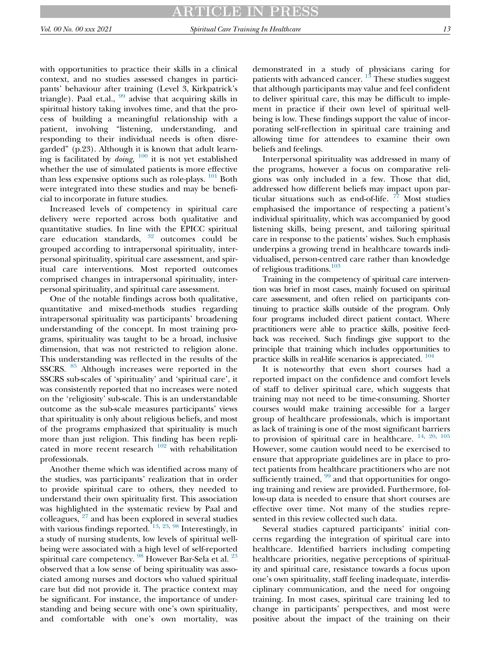with opportunities to practice their skills in a clinical context, and no studies assessed changes in participants' behaviour after training (Level 3, Kirkpatrick's triangle). Paal et.al.,  $99$  advise that acquiring skills in spiritual history taking involves time, and that the process of building a meaningful relationship with a patient, involving "listening, understanding, and responding to their individual needs is often disregarded" (p.23). Although it is known that adult learning is facilitated by *doing*,  $\frac{100}{100}$  $\frac{100}{100}$  $\frac{100}{100}$  it is not yet established whether the use of simulated patients is more effective than less expensive options such as role-plays.  $101$  Both were integrated into these studies and may be beneficial to incorporate in future studies.

Increased levels of competency in spiritual care delivery were reported across both qualitative and quantitative studies. In line with the EPICC spiritual care education standards,  $32$  outcomes could be grouped according to intrapersonal spirituality, interpersonal spirituality, spiritual care assessment, and spiritual care interventions. Most reported outcomes comprised changes in intrapersonal spirituality, interpersonal spirituality, and spiritual care assessment.

One of the notable findings across both qualitative, quantitative and mixed-methods studies regarding intrapersonal spirituality was participants' broadening understanding of the concept. In most training programs, spirituality was taught to be a broad, inclusive dimension, that was not restricted to religion alone. This understanding was reflected in the results of the SSCRS. <sup>[85](#page-18-16)</sup> Although increases were reported in the SSCRS sub-scales of 'spirituality' and 'spiritual care', it was consistently reported that no increases were noted on the 'religiosity' sub-scale. This is an understandable outcome as the sub-scale measures participants' views that spirituality is only about religious beliefs, and most of the programs emphasized that spirituality is much more than just religion. This finding has been replicated in more recent research  $102$  with rehabilitation professionals.

Another theme which was identified across many of the studies, was participants' realization that in order to provide spiritual care to others, they needed to understand their own spirituality first. This association was highlighted in the systematic review by Paal and colleagues, <sup>[27](#page-16-16)</sup> and has been explored in several studies with various findings reported.  $13, 23, 98$  $13, 23, 98$  $13, 23, 98$  $13, 23, 98$  $13, 23, 98$  Interestingly, in a study of nursing students, low levels of spiritual wellbeing were associated with a high level of self-reported spiritual care competency. <sup>[98](#page-18-32)</sup> However Bar-Sela et al. <sup>[23](#page-16-12)</sup> observed that a low sense of being spirituality was associated among nurses and doctors who valued spiritual care but did not provide it. The practice context may be significant. For instance, the importance of understanding and being secure with one's own spirituality, and comfortable with one's own mortality, was

demonstrated in a study of physicians caring for patients with advanced cancer.  $\frac{13}{3}$  $\frac{13}{3}$  $\frac{13}{3}$  These studies suggest that although participants may value and feel confident to deliver spiritual care, this may be difficult to implement in practice if their own level of spiritual wellbeing is low. These findings support the value of incorporating self-reflection in spiritual care training and allowing time for attendees to examine their own beliefs and feelings.

Interpersonal spirituality was addressed in many of the programs, however a focus on comparative religions was only included in a few. Those that did, addressed how different beliefs may impact upon particular situations such as end-of-life.  $77$  Most studies emphasised the importance of respecting a patient's individual spirituality, which was accompanied by good listening skills, being present, and tailoring spiritual care in response to the patients' wishes. Such emphasis underpins a growing trend in healthcare towards individualised, person-centred care rather than knowledge of religious traditions.<sup>[103](#page-18-37)</sup>

Training in the competency of spiritual care intervention was brief in most cases, mainly focused on spiritual care assessment, and often relied on participants continuing to practice skills outside of the program. Only four programs included direct patient contact. Where practitioners were able to practice skills, positive feedback was received. Such findings give support to the principle that training which includes opportunities to practice skills in real-life scenarios is appreciated. [104](#page-18-38)

It is noteworthy that even short courses had a reported impact on the confidence and comfort levels of staff to deliver spiritual care, which suggests that training may not need to be time-consuming. Shorter courses would make training accessible for a larger group of healthcare professionals, which is important as lack of training is one of the most significant barriers to provision of spiritual care in healthcare.  $^{14, 20, 105}$  $^{14, 20, 105}$  $^{14, 20, 105}$  $^{14, 20, 105}$  $^{14, 20, 105}$  $^{14, 20, 105}$  $^{14, 20, 105}$ However, some caution would need to be exercised to ensure that appropriate guidelines are in place to protect patients from healthcare practitioners who are not sufficiently trained,  $99$  and that opportunities for ongoing training and review are provided. Furthermore, follow-up data is needed to ensure that short courses are effective over time. Not many of the studies represented in this review collected such data.

Several studies captured participants' initial concerns regarding the integration of spiritual care into healthcare. Identified barriers including competing healthcare priorities, negative perceptions of spirituality and spiritual care, resistance towards a focus upon one's own spirituality, staff feeling inadequate, interdisciplinary communication, and the need for ongoing training. In most cases, spiritual care training led to change in participants' perspectives, and most were positive about the impact of the training on their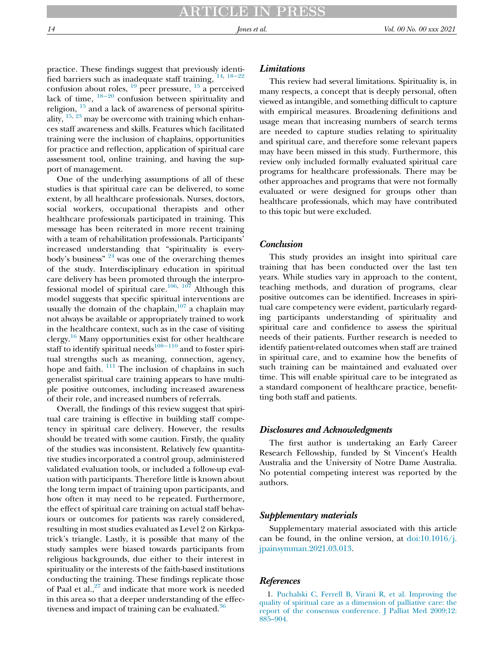practice. These findings suggest that previously identified barriers such as inadequate staff training,  $14, 18-22$  $14, 18-22$  $14, 18-22$  $14, 18-22$ confusion about roles,  $^{19}$  $^{19}$  $^{19}$  peer pressure,  $^{15}$  $^{15}$  $^{15}$  a perceived lack of time,  $18-20$  $18-20$  confusion between spirituality and religion,  $15$  and a lack of awareness of personal spirituality,  $15, 23$  $15, 23$  $15, 23$  may be overcome with training which enhances staff awareness and skills. Features which facilitated training were the inclusion of chaplains, opportunities for practice and reflection, application of spiritual care assessment tool, online training, and having the support of management.

One of the underlying assumptions of all of these studies is that spiritual care can be delivered, to some extent, by all healthcare professionals. Nurses, doctors, social workers, occupational therapists and other healthcare professionals participated in training. This message has been reiterated in more recent training with a team of rehabilitation professionals. Participants' increased understanding that "spirituality is everybody's business"  $24$  was one of the overarching themes of the study. Interdisciplinary education in spiritual care delivery has been promoted through the interpro-fessional model of spiritual care.<sup>[106](#page-18-40), [107](#page-18-41)</sup> Although this model suggests that specific spiritual interventions are usually the domain of the chaplain, $107$  a chaplain may not always be available or appropriately trained to work in the healthcare context, such as in the case of visiting clergy.<sup>[16](#page-16-8)</sup> Many opportunities exist for other healthcare staff to identify spiritual needs<sup>[108](#page-19-11)−110</sup> and to foster spiritual strengths such as meaning, connection, agency, hope and faith.  $^{111}$  $^{111}$  $^{111}$  The inclusion of chaplains in such generalist spiritual care training appears to have multiple positive outcomes, including increased awareness of their role, and increased numbers of referrals.

<span id="page-15-0"></span>Overall, the findings of this review suggest that spiritual care training is effective in building staff competency in spiritual care delivery. However, the results should be treated with some caution. Firstly, the quality of the studies was inconsistent. Relatively few quantitative studies incorporated a control group, administered validated evaluation tools, or included a follow-up evaluation with participants. Therefore little is known about the long term impact of training upon participants, and how often it may need to be repeated. Furthermore, the effect of spiritual care training on actual staff behaviours or outcomes for patients was rarely considered, resulting in most studies evaluated as Level 2 on Kirkpatrick's triangle. Lastly, it is possible that many of the study samples were biased towards participants from religious backgrounds, due either to their interest in spirituality or the interests of the faith-based institutions conducting the training. These findings replicate those of Paal et al., $27$  and indicate that more work is needed in this area so that a deeper understanding of the effectiveness and impact of training can be evaluated.<sup>36</sup>

# **Limitations**

This review had several limitations. Spirituality is, in many respects, a concept that is deeply personal, often viewed as intangible, and something difficult to capture with empirical measures. Broadening definitions and usage mean that increasing numbers of search terms are needed to capture studies relating to spirituality and spiritual care, and therefore some relevant papers may have been missed in this study. Furthermore, this review only included formally evaluated spiritual care programs for healthcare professionals. There may be other approaches and programs that were not formally evaluated or were designed for groups other than healthcare professionals, which may have contributed to this topic but were excluded.

## Conclusion

This study provides an insight into spiritual care training that has been conducted over the last ten years. While studies vary in approach to the content, teaching methods, and duration of programs, clear positive outcomes can be identified. Increases in spiritual care competency were evident, particularly regarding participants understanding of spirituality and spiritual care and confidence to assess the spiritual needs of their patients. Further research is needed to identify patient-related outcomes when staff are trained in spiritual care, and to examine how the benefits of such training can be maintained and evaluated over time. This will enable spiritual care to be integrated as a standard component of healthcare practice, benefitting both staff and patients.

#### Disclosures and Acknowledgments

The first author is undertaking an Early Career Research Fellowship, funded by St Vincent's Health Australia and the University of Notre Dame Australia. No potential competing interest was reported by the authors.

#### Supplementary materials

Supplementary material associated with this article can be found, in the online version, at  $\frac{d\dot{\omega}}{10.1016}$ . [jpainsymman.2021.03.013](https://doi.org/10.1016/j.jpainsymman.2021.03.013).

## **References**

1. [Puchalski C, Ferrell B, Virani R, et al. Improving the](http://refhub.elsevier.com/S0885-3924(21)00237-2/sbref0001) [quality of spiritual care as a dimension of palliative care: the](http://refhub.elsevier.com/S0885-3924(21)00237-2/sbref0001) [report of the consensus conference. J Palliat Med 2009;12:](http://refhub.elsevier.com/S0885-3924(21)00237-2/sbref0001) 885–[904.](http://refhub.elsevier.com/S0885-3924(21)00237-2/sbref0001)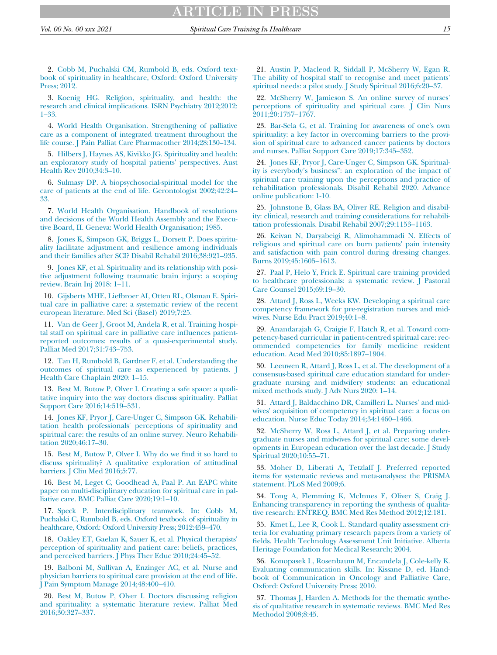<span id="page-16-2"></span>2. [Cobb M, Puchalski CM, Rumbold B, eds. Oxford text](http://refhub.elsevier.com/S0885-3924(21)00237-2/sbref0002)[book of spirituality in healthcare, Oxford: Oxford University](http://refhub.elsevier.com/S0885-3924(21)00237-2/sbref0002) [Press; 2012.](http://refhub.elsevier.com/S0885-3924(21)00237-2/sbref0002)

<span id="page-16-3"></span>3. [Koenig HG. Religion, spirituality, and health: the](http://refhub.elsevier.com/S0885-3924(21)00237-2/sbref0003) [research and clinical implications. ISRN Psychiatry 2012;2012:](http://refhub.elsevier.com/S0885-3924(21)00237-2/sbref0003) 1–[33.](http://refhub.elsevier.com/S0885-3924(21)00237-2/sbref0003)

<span id="page-16-12"></span>4. [World Health Organisation. Strengthening of palliative](http://refhub.elsevier.com/S0885-3924(21)00237-2/sbref0004) [care as a component of integrated treatment throughout the](http://refhub.elsevier.com/S0885-3924(21)00237-2/sbref0004) [life course. J Pain Palliat Care Pharmacother 2014;28:130](http://refhub.elsevier.com/S0885-3924(21)00237-2/sbref0004)–134.

<span id="page-16-13"></span>5. [Hilbers J, Haynes AS, Kivikko JG. Spirituality and health:](http://refhub.elsevier.com/S0885-3924(21)00237-2/sbref0005) [an exploratory study of hospital patients' perspectives. Aust](http://refhub.elsevier.com/S0885-3924(21)00237-2/sbref0005) [Health Rev 2010;34:3](http://refhub.elsevier.com/S0885-3924(21)00237-2/sbref0005)–10.

<span id="page-16-0"></span>6. [Sulmasy DP. A biopsychosocial-spiritual model for the](http://refhub.elsevier.com/S0885-3924(21)00237-2/sbref0006) [care of patients at the end of life. Gerontologist 2002;42:24](http://refhub.elsevier.com/S0885-3924(21)00237-2/sbref0006)– [33.](http://refhub.elsevier.com/S0885-3924(21)00237-2/sbref0006)

<span id="page-16-14"></span><span id="page-16-1"></span>7. [World Health Organisation. Handbook of resolutions](http://refhub.elsevier.com/S0885-3924(21)00237-2/sbref0007) [and decisions of the World Health Assembly and the Execu](http://refhub.elsevier.com/S0885-3924(21)00237-2/sbref0007)[tive Board, II. Geneva: World Health Organisation; 1985.](http://refhub.elsevier.com/S0885-3924(21)00237-2/sbref0007)

<span id="page-16-15"></span><span id="page-16-4"></span>8. [Jones K, Simpson GK, Briggs L, Dorsett P. Does spiritu](http://refhub.elsevier.com/S0885-3924(21)00237-2/sbref0008)[ality facilitate adjustment and resilience among individuals](http://refhub.elsevier.com/S0885-3924(21)00237-2/sbref0008) [and their families after SCI? Disabil Rehabil 2016;38:921](http://refhub.elsevier.com/S0885-3924(21)00237-2/sbref0008)–935.

<span id="page-16-16"></span>9. [Jones KF, et al. Spirituality and its relationship with posi](http://refhub.elsevier.com/S0885-3924(21)00237-2/sbref0009)[tive adjustment following traumatic brain injury: a scoping](http://refhub.elsevier.com/S0885-3924(21)00237-2/sbref0009) [review. Brain Inj 2018: 1](http://refhub.elsevier.com/S0885-3924(21)00237-2/sbref0009)–11.

<span id="page-16-17"></span>10. [Gijsberts MHE, Liefbroer AI, Otten RL, Olsman E. Spiri](http://refhub.elsevier.com/S0885-3924(21)00237-2/sbref0010)[tual care in palliative care: a systematic review of the recent](http://refhub.elsevier.com/S0885-3924(21)00237-2/sbref0010) [european literature. Med Sci \(Basel\) 2019;7:25.](http://refhub.elsevier.com/S0885-3924(21)00237-2/sbref0010)

<span id="page-16-18"></span><span id="page-16-5"></span>11. [Van de Geer J, Groot M, Andela R, et al. Training hospi](http://refhub.elsevier.com/S0885-3924(21)00237-2/sbref0011)[tal staff on spiritual care in palliative care in](http://refhub.elsevier.com/S0885-3924(21)00237-2/sbref0011)fluences patient[reported outcomes: results of a quasi-experimental study.](http://refhub.elsevier.com/S0885-3924(21)00237-2/sbref0011) [Palliat Med 2017;31:743](http://refhub.elsevier.com/S0885-3924(21)00237-2/sbref0011)–753.

<span id="page-16-19"></span>12. [Tan H, Rumbold B, Gardner F, et al. Understanding the](http://refhub.elsevier.com/S0885-3924(21)00237-2/sbref0012) [outcomes of spiritual care as experienced by patients. J](http://refhub.elsevier.com/S0885-3924(21)00237-2/sbref0012) [Health Care Chaplain 2020: 1](http://refhub.elsevier.com/S0885-3924(21)00237-2/sbref0012)–15.

<span id="page-16-27"></span><span id="page-16-20"></span>13. [Best M, Butow P, Olver I. Creating a safe space: a quali](http://refhub.elsevier.com/S0885-3924(21)00237-2/sbref0013)[tative inquiry into the way doctors discuss spirituality. Palliat](http://refhub.elsevier.com/S0885-3924(21)00237-2/sbref0013) [Support Care 2016;14:519](http://refhub.elsevier.com/S0885-3924(21)00237-2/sbref0013)–531.

<span id="page-16-21"></span><span id="page-16-6"></span>14. [Jones KF, Pryor J, Care-Unger C, Simpson GK. Rehabili](http://refhub.elsevier.com/S0885-3924(21)00237-2/sbref0014)[tation health professionals' perceptions of spirituality and](http://refhub.elsevier.com/S0885-3924(21)00237-2/sbref0014) [spiritual care: the results of an online survey. Neuro Rehabili](http://refhub.elsevier.com/S0885-3924(21)00237-2/sbref0014)[tation 2020;46:17](http://refhub.elsevier.com/S0885-3924(21)00237-2/sbref0014)–30.

<span id="page-16-22"></span><span id="page-16-7"></span>15. [Best M, Butow P, Olver I. Why do we](http://refhub.elsevier.com/S0885-3924(21)00237-2/sbref0015) find it so hard to [discuss spirituality? A qualitative exploration of attitudinal](http://refhub.elsevier.com/S0885-3924(21)00237-2/sbref0015) [barriers. J Clin Med 2016;5:77.](http://refhub.elsevier.com/S0885-3924(21)00237-2/sbref0015)

<span id="page-16-23"></span><span id="page-16-8"></span>16. [Best M, Leget C, Goodhead A, Paal P. An EAPC white](http://refhub.elsevier.com/S0885-3924(21)00237-2/sbref0016) [paper on multi-disciplinary education for spiritual care in pal](http://refhub.elsevier.com/S0885-3924(21)00237-2/sbref0016)[liative care. BMC Palliat Care 2020;19:1](http://refhub.elsevier.com/S0885-3924(21)00237-2/sbref0016)–10.

<span id="page-16-24"></span><span id="page-16-9"></span>17. [Speck P. Interdisciplinary teamwork. In: Cobb M,](http://refhub.elsevier.com/S0885-3924(21)00237-2/sbref0017) [Puchalski C, Rumbold B, eds. Oxford textbook of spirituality in](http://refhub.elsevier.com/S0885-3924(21)00237-2/sbref0017) [healthcare, Oxford: Oxford University Press; 2012:459](http://refhub.elsevier.com/S0885-3924(21)00237-2/sbref0017)–470.

<span id="page-16-10"></span>18. [Oakley ET, Gaelan K, Sauer K, et al. Physical therapists'](http://refhub.elsevier.com/S0885-3924(21)00237-2/sbref0018) [perception of spirituality and patient care: beliefs, practices,](http://refhub.elsevier.com/S0885-3924(21)00237-2/sbref0018) [and perceived barriers. J Phys Ther Educ 2010;24:45](http://refhub.elsevier.com/S0885-3924(21)00237-2/sbref0018)–52.

<span id="page-16-25"></span><span id="page-16-11"></span>19. [Balboni M, Sullivan A, Enzinger AC, et al. Nurse and](http://refhub.elsevier.com/S0885-3924(21)00237-2/sbref0019) [physician barriers to spiritual care provision at the end of life.](http://refhub.elsevier.com/S0885-3924(21)00237-2/sbref0019) [J Pain Symptom Manage 2014;48:400](http://refhub.elsevier.com/S0885-3924(21)00237-2/sbref0019)–410.

<span id="page-16-28"></span><span id="page-16-26"></span>20. [Best M, Butow P, Olver I. Doctors discussing religion](http://refhub.elsevier.com/S0885-3924(21)00237-2/sbref0020) [and spirituality: a systematic literature review. Palliat Med](http://refhub.elsevier.com/S0885-3924(21)00237-2/sbref0020) [2016;30:327](http://refhub.elsevier.com/S0885-3924(21)00237-2/sbref0020)–337.

21. [Austin P, Macleod R, Siddall P, McSherry W, Egan R.](http://refhub.elsevier.com/S0885-3924(21)00237-2/sbref0021) [The ability of hospital staff to recognise and meet patients'](http://refhub.elsevier.com/S0885-3924(21)00237-2/sbref0021) [spiritual needs: a pilot study. J Study Spiritual 2016;6:20](http://refhub.elsevier.com/S0885-3924(21)00237-2/sbref0021)–37.

22. [McSherry W, Jamieson S. An online survey of nurses'](http://refhub.elsevier.com/S0885-3924(21)00237-2/sbref0022) [perceptions of spirituality and spiritual care. J Clin Nurs](http://refhub.elsevier.com/S0885-3924(21)00237-2/sbref0022) [2011;20:1757](http://refhub.elsevier.com/S0885-3924(21)00237-2/sbref0022)–1767.

23. [Bar-Sela G, et al. Training for awareness of one's own](http://refhub.elsevier.com/S0885-3924(21)00237-2/sbref0023) [spirituality: a key factor in overcoming barriers to the provi](http://refhub.elsevier.com/S0885-3924(21)00237-2/sbref0023)[sion of spiritual care to advanced cancer patients by doctors](http://refhub.elsevier.com/S0885-3924(21)00237-2/sbref0023) [and nurses. Palliat Support Care 2019;17:345](http://refhub.elsevier.com/S0885-3924(21)00237-2/sbref0023)–352.

24. [Jones KF, Pryor J, Care-Unger C, Simpson GK. Spiritual](http://refhub.elsevier.com/S0885-3924(21)00237-2/sbref0024)ity is everybody's business"[: an exploration of the impact of](http://refhub.elsevier.com/S0885-3924(21)00237-2/sbref0024) [spiritual care training upon the perceptions and practice of](http://refhub.elsevier.com/S0885-3924(21)00237-2/sbref0024) [rehabilitation professionals. Disabil Rehabil 2020. Advance](http://refhub.elsevier.com/S0885-3924(21)00237-2/sbref0024) [online publication: 1-10.](http://refhub.elsevier.com/S0885-3924(21)00237-2/sbref0024)

25. [Johnstone B, Glass BA, Oliver RE. Religion and disabil](http://refhub.elsevier.com/S0885-3924(21)00237-2/sbref0025)[ity: clinical, research and training considerations for rehabili](http://refhub.elsevier.com/S0885-3924(21)00237-2/sbref0025)[tation professionals. Disabil Rehabil 2007;29:1153](http://refhub.elsevier.com/S0885-3924(21)00237-2/sbref0025)–1163.

26. [Keivan N, Daryabeigi R, Alimohammadi N. Effects of](http://refhub.elsevier.com/S0885-3924(21)00237-2/sbref0026) [religious and spiritual care on burn patients' pain intensity](http://refhub.elsevier.com/S0885-3924(21)00237-2/sbref0026) [and satisfaction with pain control during dressing changes.](http://refhub.elsevier.com/S0885-3924(21)00237-2/sbref0026) [Burns 2019;45:1605](http://refhub.elsevier.com/S0885-3924(21)00237-2/sbref0026)–1613.

27. [Paal P, Helo Y, Frick E. Spiritual care training provided](http://refhub.elsevier.com/S0885-3924(21)00237-2/sbref0027) [to healthcare professionals: a systematic review. J Pastoral](http://refhub.elsevier.com/S0885-3924(21)00237-2/sbref0027) [Care Counsel 2015;69:19](http://refhub.elsevier.com/S0885-3924(21)00237-2/sbref0027)–30.

28. [Attard J, Ross L, Weeks KW. Developing a spiritual care](http://refhub.elsevier.com/S0885-3924(21)00237-2/sbref0028) [competency framework for pre-registration nurses and mid](http://refhub.elsevier.com/S0885-3924(21)00237-2/sbref0028)[wives. Nurse Edu Pract 2019;40:1](http://refhub.elsevier.com/S0885-3924(21)00237-2/sbref0028)–8.

29. [Anandarajah G, Craigie F, Hatch R, et al. Toward com](http://refhub.elsevier.com/S0885-3924(21)00237-2/sbref0029)[petency-based curricular in patient-centred spiritual care: rec](http://refhub.elsevier.com/S0885-3924(21)00237-2/sbref0029)[ommended competencies for family medicine resident](http://refhub.elsevier.com/S0885-3924(21)00237-2/sbref0029) [education. Acad Med 2010;85:1897](http://refhub.elsevier.com/S0885-3924(21)00237-2/sbref0029)–1904.

30. [Leeuwen R, Attard J, Ross L, et al. The development of a](http://refhub.elsevier.com/S0885-3924(21)00237-2/sbref0030) [consensus-based spiritual care education standard for under](http://refhub.elsevier.com/S0885-3924(21)00237-2/sbref0030)[graduate nursing and midwifery students: an educational](http://refhub.elsevier.com/S0885-3924(21)00237-2/sbref0030) [mixed methods study. J Adv Nurs 2020: 1](http://refhub.elsevier.com/S0885-3924(21)00237-2/sbref0030)–14.

31. [Attard J, Baldacchino DR, Camilleri L. Nurses' and mid](http://refhub.elsevier.com/S0885-3924(21)00237-2/sbref0031)[wives' acquisition of competency in spiritual care: a focus on](http://refhub.elsevier.com/S0885-3924(21)00237-2/sbref0031) [education. Nurse Educ Today 2014;34:1460](http://refhub.elsevier.com/S0885-3924(21)00237-2/sbref0031)–1466.

32. [McSherry W, Ross L, Attard J, et al. Preparing under](http://refhub.elsevier.com/S0885-3924(21)00237-2/sbref0032)[graduate nurses and midwives for spiritual care: some devel](http://refhub.elsevier.com/S0885-3924(21)00237-2/sbref0032)[opments in European education over the last decade. J Study](http://refhub.elsevier.com/S0885-3924(21)00237-2/sbref0032) [Spiritual 2020;10:55](http://refhub.elsevier.com/S0885-3924(21)00237-2/sbref0032)–71.

33. [Moher D, Liberati A, Tetzlaff J. Preferred reported](http://refhub.elsevier.com/S0885-3924(21)00237-2/sbref0033) [items for systematic reviews and meta-analyses: the PRISMA](http://refhub.elsevier.com/S0885-3924(21)00237-2/sbref0033) [statement. PLoS Med 2009;6.](http://refhub.elsevier.com/S0885-3924(21)00237-2/sbref0033)

34. [Tong A, Flemming K, McInnes E, Oliver S, Craig J.](http://refhub.elsevier.com/S0885-3924(21)00237-2/sbref0034) [Enhancing transparency in reporting the synthesis of qualita](http://refhub.elsevier.com/S0885-3924(21)00237-2/sbref0034)[tive research: ENTREQ. BMC Med Res Method 2012;12:181.](http://refhub.elsevier.com/S0885-3924(21)00237-2/sbref0034)

35. [Kmet L, Lee R, Cook L. Standard quality assessment cri](http://refhub.elsevier.com/S0885-3924(21)00237-2/sbref0035)[teria for evaluating primary research papers from a variety of](http://refhub.elsevier.com/S0885-3924(21)00237-2/sbref0035) fi[elds. Health Technology Assessment Unit Initiative. Alberta](http://refhub.elsevier.com/S0885-3924(21)00237-2/sbref0035) [Heritage Foundation for Medical Research; 2004.](http://refhub.elsevier.com/S0885-3924(21)00237-2/sbref0035)

36. [Konopasek L, Rosenbaum M, Encandela J, Cole-kelly K.](http://refhub.elsevier.com/S0885-3924(21)00237-2/sbref0036) [Evaluating communication skills. In: Kissane D, ed. Hand](http://refhub.elsevier.com/S0885-3924(21)00237-2/sbref0036)[book of Communication in Oncology and Palliative Care,](http://refhub.elsevier.com/S0885-3924(21)00237-2/sbref0036) [Oxford: Oxford University Press; 2010.](http://refhub.elsevier.com/S0885-3924(21)00237-2/sbref0036)

37. [Thomas J, Harden A. Methods for the thematic synthe](http://refhub.elsevier.com/S0885-3924(21)00237-2/sbref0037)[sis of qualitative research in systematic reviews. BMC Med Res](http://refhub.elsevier.com/S0885-3924(21)00237-2/sbref0037) [Methodol 2008;8:45.](http://refhub.elsevier.com/S0885-3924(21)00237-2/sbref0037)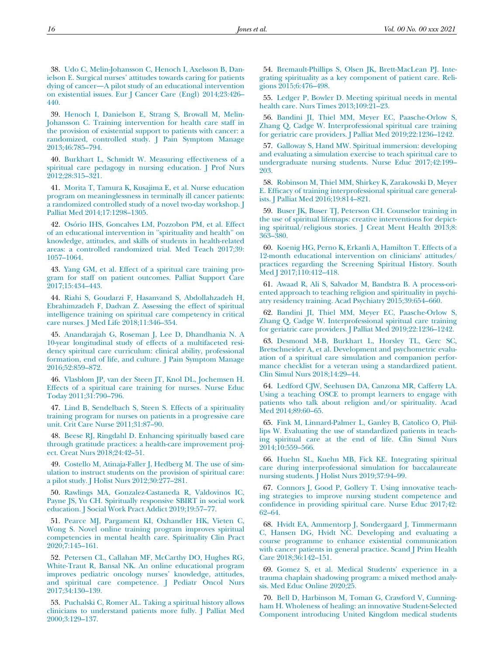<span id="page-17-8"></span><span id="page-17-0"></span>38. [Udo C, Melin-Johansson C, Henoch I, Axelsson B, Dan](http://refhub.elsevier.com/S0885-3924(21)00237-2/sbref0038)ielson E. Surgical nurses' [attitudes towards caring for patients](http://refhub.elsevier.com/S0885-3924(21)00237-2/sbref0038) dying of cancer—[A pilot study of an educational intervention](http://refhub.elsevier.com/S0885-3924(21)00237-2/sbref0038) [on existential issues. Eur J Cancer Care \(Engl\) 2014;23:426](http://refhub.elsevier.com/S0885-3924(21)00237-2/sbref0038)– [440.](http://refhub.elsevier.com/S0885-3924(21)00237-2/sbref0038)

39. [Henoch I, Danielson E, Strang S, Browall M, Melin-](http://refhub.elsevier.com/S0885-3924(21)00237-2/sbref0039)[Johansson C. Training intervention for health care staff in](http://refhub.elsevier.com/S0885-3924(21)00237-2/sbref0039) [the provision of existential support to patients with cancer: a](http://refhub.elsevier.com/S0885-3924(21)00237-2/sbref0039) [randomized, controlled study. J Pain Symptom Manage](http://refhub.elsevier.com/S0885-3924(21)00237-2/sbref0039) [2013;46:785](http://refhub.elsevier.com/S0885-3924(21)00237-2/sbref0039)–794.

<span id="page-17-12"></span>40. [Burkhart L, Schmidt W. Measuring effectiveness of a](http://refhub.elsevier.com/S0885-3924(21)00237-2/sbref0040) [spiritual care pedagogy in nursing education. J Prof Nurs](http://refhub.elsevier.com/S0885-3924(21)00237-2/sbref0040) [2012;28:315](http://refhub.elsevier.com/S0885-3924(21)00237-2/sbref0040)–321.

<span id="page-17-13"></span>41. [Morita T, Tamura K, Kusajima E, et al. Nurse education](http://refhub.elsevier.com/S0885-3924(21)00237-2/sbref0041) [program on meaninglessness in terminally ill cancer patients:](http://refhub.elsevier.com/S0885-3924(21)00237-2/sbref0041) [a randomized controlled study of a novel two-day workshop. J](http://refhub.elsevier.com/S0885-3924(21)00237-2/sbref0041) [Palliat Med 2014;17:1298](http://refhub.elsevier.com/S0885-3924(21)00237-2/sbref0041)–1305.

<span id="page-17-26"></span><span id="page-17-10"></span><span id="page-17-9"></span>42. Osório IHS, Goncalves LM, Pozzobon PM, et al. Effect [of an educational intervention in ''spirituality and health'' on](http://refhub.elsevier.com/S0885-3924(21)00237-2/sbref0042) [knowledge, attitudes, and skills of students in health-related](http://refhub.elsevier.com/S0885-3924(21)00237-2/sbref0042) [areas: a controlled randomized trial. Med Teach 2017;39:](http://refhub.elsevier.com/S0885-3924(21)00237-2/sbref0042) 1057–[1064.](http://refhub.elsevier.com/S0885-3924(21)00237-2/sbref0042)

<span id="page-17-11"></span><span id="page-17-1"></span>43. [Yang GM, et al. Effect of a spiritual care training pro](http://refhub.elsevier.com/S0885-3924(21)00237-2/sbref0043)[gram for staff on patient outcomes. Palliat Support Care](http://refhub.elsevier.com/S0885-3924(21)00237-2/sbref0043) [2017;15:434](http://refhub.elsevier.com/S0885-3924(21)00237-2/sbref0043)–443.

<span id="page-17-14"></span><span id="page-17-2"></span>44. [Riahi S, Goudarzi F, Hasanvand S, Abdollahzadeh H,](http://refhub.elsevier.com/S0885-3924(21)00237-2/sbref0044) [Ebrahimzadeh F, Dadvan Z. Assessing the effect of spiritual](http://refhub.elsevier.com/S0885-3924(21)00237-2/sbref0044) [intelligence training on spiritual care competency in critical](http://refhub.elsevier.com/S0885-3924(21)00237-2/sbref0044) [care nurses. J Med Life 2018;11:346](http://refhub.elsevier.com/S0885-3924(21)00237-2/sbref0044)–354.

<span id="page-17-21"></span><span id="page-17-3"></span>45. [Anandarajah G, Roseman J, Lee D, Dhandhania N. A](http://refhub.elsevier.com/S0885-3924(21)00237-2/sbref0045) [10-year longitudinal study of effects of a multifaceted resi](http://refhub.elsevier.com/S0885-3924(21)00237-2/sbref0045)[dency spiritual care curriculum: clinical ability, professional](http://refhub.elsevier.com/S0885-3924(21)00237-2/sbref0045) [formation, end of life, and culture. J Pain Symptom Manage](http://refhub.elsevier.com/S0885-3924(21)00237-2/sbref0045) [2016;52:859](http://refhub.elsevier.com/S0885-3924(21)00237-2/sbref0045)–872.

<span id="page-17-17"></span><span id="page-17-4"></span>46. [Vlasblom JP, van der Steen JT, Knol DL, Jochemsen H.](http://refhub.elsevier.com/S0885-3924(21)00237-2/sbref0046) [Effects of a spiritual care training for nurses. Nurse Educ](http://refhub.elsevier.com/S0885-3924(21)00237-2/sbref0046) [Today 2011;31:790](http://refhub.elsevier.com/S0885-3924(21)00237-2/sbref0046)–796.

<span id="page-17-25"></span><span id="page-17-22"></span>47. [Lind B, Sendelbach S, Steen S. Effects of a spirituality](http://refhub.elsevier.com/S0885-3924(21)00237-2/sbref0047) [training program for nurses on patients in a progressive care](http://refhub.elsevier.com/S0885-3924(21)00237-2/sbref0047) [unit. Crit Care Nurse 2011;31:87](http://refhub.elsevier.com/S0885-3924(21)00237-2/sbref0047)–90.

<span id="page-17-24"></span>48. [Beese RJ, Ringdahl D. Enhancing spiritually based care](http://refhub.elsevier.com/S0885-3924(21)00237-2/sbref0048) [through gratitude practices: a health-care improvement proj](http://refhub.elsevier.com/S0885-3924(21)00237-2/sbref0048)[ect. Creat Nurs 2018;24:42](http://refhub.elsevier.com/S0885-3924(21)00237-2/sbref0048)–51.

<span id="page-17-23"></span><span id="page-17-5"></span>49. [Costello M, Atinaja-Faller J, Hedberg M. The use of sim](http://refhub.elsevier.com/S0885-3924(21)00237-2/sbref0049)[ulation to instruct students on the provision of spiritual care:](http://refhub.elsevier.com/S0885-3924(21)00237-2/sbref0049) [a pilot study. J Holist Nurs 2012;30:277](http://refhub.elsevier.com/S0885-3924(21)00237-2/sbref0049)–281.

<span id="page-17-27"></span><span id="page-17-6"></span>50. [Rawlings MA, Gonzalez-Castaneda R, Valdovinos IC,](http://refhub.elsevier.com/S0885-3924(21)00237-2/sbref0050) [Payne JS, Yu CH. Spiritually responsive SBIRT in social work](http://refhub.elsevier.com/S0885-3924(21)00237-2/sbref0050) [education. J Social Work Pract Addict 2019;19:57](http://refhub.elsevier.com/S0885-3924(21)00237-2/sbref0050)–77.

<span id="page-17-18"></span><span id="page-17-16"></span>51. [Pearce MJ, Pargament KI, Oxhandler HK, Vieten C,](http://refhub.elsevier.com/S0885-3924(21)00237-2/sbref0051) [Wong S. Novel online training program improves spiritual](http://refhub.elsevier.com/S0885-3924(21)00237-2/sbref0051) [competencies in mental health care. Spirituality Clin Pract](http://refhub.elsevier.com/S0885-3924(21)00237-2/sbref0051) [2020;7:145](http://refhub.elsevier.com/S0885-3924(21)00237-2/sbref0051)–161.

<span id="page-17-20"></span><span id="page-17-15"></span>52. [Petersen CL, Callahan MF, McCarthy DO, Hughes RG,](http://refhub.elsevier.com/S0885-3924(21)00237-2/sbref0052) [White-Traut R, Bansal NK. An online educational program](http://refhub.elsevier.com/S0885-3924(21)00237-2/sbref0052) [improves pediatric oncology nurses](http://refhub.elsevier.com/S0885-3924(21)00237-2/sbref0052)' knowledge, attitudes, [and spiritual care competence. J Pediatr Oncol Nurs](http://refhub.elsevier.com/S0885-3924(21)00237-2/sbref0052) [2017;34:130](http://refhub.elsevier.com/S0885-3924(21)00237-2/sbref0052)–139.

<span id="page-17-19"></span><span id="page-17-7"></span>53. [Puchalski C, Romer AL. Taking a spiritual history allows](http://refhub.elsevier.com/S0885-3924(21)00237-2/sbref0053) [clinicians to understand patients more fully. J Palliat Med](http://refhub.elsevier.com/S0885-3924(21)00237-2/sbref0053) [2000;3:129](http://refhub.elsevier.com/S0885-3924(21)00237-2/sbref0053)–137.

54. [Bremault-Phillips S, Olsen JK, Brett-MacLean PJ. Inte](http://refhub.elsevier.com/S0885-3924(21)00237-2/sbref0054)[grating spirituality as a key component of patient care. Reli](http://refhub.elsevier.com/S0885-3924(21)00237-2/sbref0054)[gions 2015;6:476](http://refhub.elsevier.com/S0885-3924(21)00237-2/sbref0054)–498.

55. [Ledger P, Bowler D. Meeting spiritual needs in mental](http://refhub.elsevier.com/S0885-3924(21)00237-2/sbref0055) [health care. Nurs Times 2013;109:21](http://refhub.elsevier.com/S0885-3924(21)00237-2/sbref0055)–23.

56. [Bandini JI, Thiel MM, Meyer EC, Paasche-Orlow S,](http://refhub.elsevier.com/S0885-3924(21)00237-2/sbref0056) [Zhang Q, Cadge W. Interprofessional spiritual care training](http://refhub.elsevier.com/S0885-3924(21)00237-2/sbref0056) [for geriatric care providers. J Palliat Med 2019;22:1236](http://refhub.elsevier.com/S0885-3924(21)00237-2/sbref0056)–1242.

57. [Galloway S, Hand MW. Spiritual immersion: developing](http://refhub.elsevier.com/S0885-3924(21)00237-2/sbref0057) [and evaluating a simulation exercise to teach spiritual care to](http://refhub.elsevier.com/S0885-3924(21)00237-2/sbref0057) [undergraduate nursing students. Nurse Educ 2017;42:199](http://refhub.elsevier.com/S0885-3924(21)00237-2/sbref0057)– [203.](http://refhub.elsevier.com/S0885-3924(21)00237-2/sbref0057)

58. [Robinson M, Thiel MM, Shirkey K, Zarakowski D, Meyer](http://refhub.elsevier.com/S0885-3924(21)00237-2/sbref0058) E. Effi[cacy of training interprofessional spiritual care general](http://refhub.elsevier.com/S0885-3924(21)00237-2/sbref0058)[ists. J Palliat Med 2016;19:814](http://refhub.elsevier.com/S0885-3924(21)00237-2/sbref0058)–821.

59. [Buser JK, Buser TJ, Peterson CH. Counselor training in](http://refhub.elsevier.com/S0885-3924(21)00237-2/sbref0059) [the use of spiritual lifemaps: creative interventions for depict](http://refhub.elsevier.com/S0885-3924(21)00237-2/sbref0059)[ing spiritual/religious stories. J Creat Ment Health 2013;8:](http://refhub.elsevier.com/S0885-3924(21)00237-2/sbref0059) 363–[380.](http://refhub.elsevier.com/S0885-3924(21)00237-2/sbref0059)

60. [Koenig HG, Perno K, Erkanli A, Hamilton T. Effects of a](http://refhub.elsevier.com/S0885-3924(21)00237-2/sbref0060) [12-month educational intervention on clinicians' attitudes/](http://refhub.elsevier.com/S0885-3924(21)00237-2/sbref0060) [practices regarding the Screening Spiritual History. South](http://refhub.elsevier.com/S0885-3924(21)00237-2/sbref0060) [Med J 2017;110:412](http://refhub.elsevier.com/S0885-3924(21)00237-2/sbref0060)-418.

61. [Awaad R, Ali S, Salvador M, Bandstra B. A process-ori](http://refhub.elsevier.com/S0885-3924(21)00237-2/sbref0061)[ented approach to teaching religion and spirituality in psychi](http://refhub.elsevier.com/S0885-3924(21)00237-2/sbref0061)[atry residency training. Acad Psychiatry 2015;39:654](http://refhub.elsevier.com/S0885-3924(21)00237-2/sbref0061)–660.

62. [Bandini JI, Thiel MM, Meyer EC, Paasche-Orlow S,](http://refhub.elsevier.com/S0885-3924(21)00237-2/sbref0062) [Zhang Q, Cadge W. Interprofessional spiritual care training](http://refhub.elsevier.com/S0885-3924(21)00237-2/sbref0062) [for geriatric care providers. J Palliat Med 2019;22:1236](http://refhub.elsevier.com/S0885-3924(21)00237-2/sbref0062)–1242.

63. [Desmond M-B, Burkhart L, Horsley TL, Gerc SC,](http://refhub.elsevier.com/S0885-3924(21)00237-2/sbref0063) [Bretschneider A, et al. Development and psychometric evalu](http://refhub.elsevier.com/S0885-3924(21)00237-2/sbref0063)[ation of a spiritual care simulation and companion perfor](http://refhub.elsevier.com/S0885-3924(21)00237-2/sbref0063)[mance checklist for a veteran using a standardized patient.](http://refhub.elsevier.com/S0885-3924(21)00237-2/sbref0063) [Clin Simul Nurs 2018;14:29](http://refhub.elsevier.com/S0885-3924(21)00237-2/sbref0063)–44.

64. [Ledford CJW, Seehusen DA, Canzona MR, Cafferty LA.](http://refhub.elsevier.com/S0885-3924(21)00237-2/sbref0064) [Using a teaching OSCE to prompt learners to engage with](http://refhub.elsevier.com/S0885-3924(21)00237-2/sbref0064) [patients who talk about religion and/or spirituality. Acad](http://refhub.elsevier.com/S0885-3924(21)00237-2/sbref0064) [Med 2014;89:60](http://refhub.elsevier.com/S0885-3924(21)00237-2/sbref0064)–65.

65. [Fink M, Linnard-Palmer L, Ganley B, Catolico O, Phil](http://refhub.elsevier.com/S0885-3924(21)00237-2/sbref0065)[lips W. Evaluating the use of standardized patients in teach](http://refhub.elsevier.com/S0885-3924(21)00237-2/sbref0065)[ing spiritual care at the end of life. Clin Simul Nurs](http://refhub.elsevier.com/S0885-3924(21)00237-2/sbref0065) [2014;10:559](http://refhub.elsevier.com/S0885-3924(21)00237-2/sbref0065)–566.

66. [Huehn SL, Kuehn MB, Fick KE. Integrating spiritual](http://refhub.elsevier.com/S0885-3924(21)00237-2/sbref0066) [care during interprofessional simulation for baccalaureate](http://refhub.elsevier.com/S0885-3924(21)00237-2/sbref0066) [nursing students. J Holist Nurs 2019;37:94](http://refhub.elsevier.com/S0885-3924(21)00237-2/sbref0066)–99.

67. [Connors J, Good P, Gollery T. Using innovative teach](http://refhub.elsevier.com/S0885-3924(21)00237-2/sbref0067)[ing strategies to improve nursing student competence and](http://refhub.elsevier.com/S0885-3924(21)00237-2/sbref0067) confi[dence in providing spiritual care. Nurse Educ 2017;42:](http://refhub.elsevier.com/S0885-3924(21)00237-2/sbref0067) 62–[64.](http://refhub.elsevier.com/S0885-3924(21)00237-2/sbref0067)

68. [Hvidt EA, Ammentorp J, Sondergaard J, Timmermann](http://refhub.elsevier.com/S0885-3924(21)00237-2/sbref0068) [C, Hansen DG, Hvidt NC. Developing and evaluating a](http://refhub.elsevier.com/S0885-3924(21)00237-2/sbref0068) [course programme to enhance existential communication](http://refhub.elsevier.com/S0885-3924(21)00237-2/sbref0068) [with cancer patients in general practice. Scand J Prim Health](http://refhub.elsevier.com/S0885-3924(21)00237-2/sbref0068) [Care 2018;36:142](http://refhub.elsevier.com/S0885-3924(21)00237-2/sbref0068)–151.

69. [Gomez S, et al. Medical Students' experience in a](http://refhub.elsevier.com/S0885-3924(21)00237-2/sbref0069) [trauma chaplain shadowing program: a mixed method analy](http://refhub.elsevier.com/S0885-3924(21)00237-2/sbref0069)[sis. Med Educ Online 2020;25.](http://refhub.elsevier.com/S0885-3924(21)00237-2/sbref0069)

70. [Bell D, Harbinson M, Toman G, Crawford V, Cunning](http://refhub.elsevier.com/S0885-3924(21)00237-2/sbref0070)[ham H. Wholeness of healing: an innovative Student-Selected](http://refhub.elsevier.com/S0885-3924(21)00237-2/sbref0070) [Component introducing United Kingdom medical students](http://refhub.elsevier.com/S0885-3924(21)00237-2/sbref0070)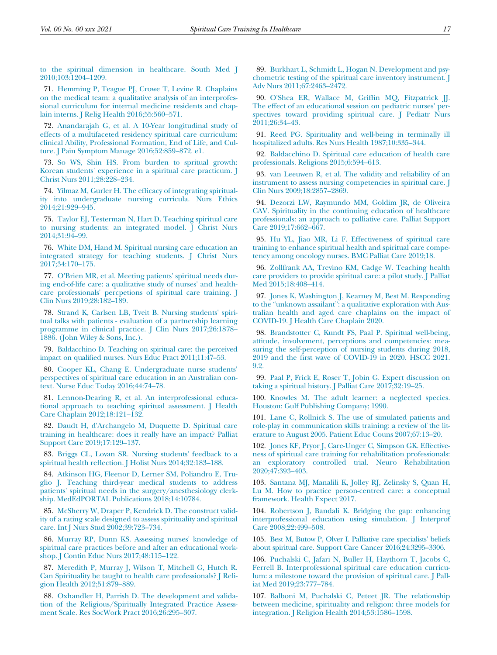<span id="page-18-20"></span><span id="page-18-6"></span>[to the spiritual dimension in healthcare. South Med J](http://refhub.elsevier.com/S0885-3924(21)00237-2/sbref0070) [2010;103:1204](http://refhub.elsevier.com/S0885-3924(21)00237-2/sbref0070)–1209.

<span id="page-18-24"></span><span id="page-18-21"></span>71. [Hemming P, Teague PJ, Crowe T, Levine R. Chaplains](http://refhub.elsevier.com/S0885-3924(21)00237-2/sbref0071) [on the medical team: a qualitative analysis of an interprofes](http://refhub.elsevier.com/S0885-3924(21)00237-2/sbref0071)[sional curriculum for internal medicine residents and chap](http://refhub.elsevier.com/S0885-3924(21)00237-2/sbref0071)[lain interns. J Relig Health 2016;55:560](http://refhub.elsevier.com/S0885-3924(21)00237-2/sbref0071)–571.

<span id="page-18-22"></span><span id="page-18-0"></span>72. [Anandarajah G, et al. A 10-Year longitudinal study of](http://refhub.elsevier.com/S0885-3924(21)00237-2/sbref0072) [effects of a multifaceted residency spiritual care curriculum:](http://refhub.elsevier.com/S0885-3924(21)00237-2/sbref0072) [clinical Ability, Professional Formation, End of Life, and Cul](http://refhub.elsevier.com/S0885-3924(21)00237-2/sbref0072)[ture. J Pain Symptom Manage 2016;52:859](http://refhub.elsevier.com/S0885-3924(21)00237-2/sbref0072)–872. e1.

<span id="page-18-25"></span><span id="page-18-23"></span><span id="page-18-13"></span>73. [So WS, Shin HS. From burden to spritual growth:](http://refhub.elsevier.com/S0885-3924(21)00237-2/sbref0073) [Korean students' experience in a spiritual care practicum. J](http://refhub.elsevier.com/S0885-3924(21)00237-2/sbref0073) [Christ Nurs 2011;28:228](http://refhub.elsevier.com/S0885-3924(21)00237-2/sbref0073)–234.

<span id="page-18-27"></span><span id="page-18-1"></span>74. Yilmaz M, Gurler H. The effi[cacy of integrating spiritual](http://refhub.elsevier.com/S0885-3924(21)00237-2/sbref0074)[ity into undergraduate nursing curricula. Nurs Ethics](http://refhub.elsevier.com/S0885-3924(21)00237-2/sbref0074) [2014;21:929](http://refhub.elsevier.com/S0885-3924(21)00237-2/sbref0074)–945.

<span id="page-18-12"></span>75. [Taylor EJ, Testerman N, Hart D. Teaching spiritual care](http://refhub.elsevier.com/S0885-3924(21)00237-2/sbref0075) [to nursing students: an integrated model. J Christ Nurs](http://refhub.elsevier.com/S0885-3924(21)00237-2/sbref0075) [2014;31:94](http://refhub.elsevier.com/S0885-3924(21)00237-2/sbref0075)–99.

<span id="page-18-28"></span><span id="page-18-26"></span>76. [White DM, Hand M. Spiritual nursing care education an](http://refhub.elsevier.com/S0885-3924(21)00237-2/sbref0076) [integrated strategy for teaching students. J Christ Nurs](http://refhub.elsevier.com/S0885-3924(21)00237-2/sbref0076) [2017;34:170](http://refhub.elsevier.com/S0885-3924(21)00237-2/sbref0076)–175.

<span id="page-18-29"></span><span id="page-18-7"></span>77. [O'Brien MR, et al. Meeting patients' spiritual needs dur](http://refhub.elsevier.com/S0885-3924(21)00237-2/sbref0077)[ing end-of-life care: a qualitative study of nurses' and health](http://refhub.elsevier.com/S0885-3924(21)00237-2/sbref0077)[care professionals' percpetions of spiritual care training. J](http://refhub.elsevier.com/S0885-3924(21)00237-2/sbref0077) [Clin Nurs 2019;28:182](http://refhub.elsevier.com/S0885-3924(21)00237-2/sbref0077)–189.

<span id="page-18-31"></span><span id="page-18-8"></span>78. [Strand K, Carlsen LB, Tveit B. Nursing students' spiri](http://refhub.elsevier.com/S0885-3924(21)00237-2/sbref0078)[tual talks with patients - evaluation of a partnership learning](http://refhub.elsevier.com/S0885-3924(21)00237-2/sbref0078) [programme in clinical practice. J Clin Nurs 2017;26:1878](http://refhub.elsevier.com/S0885-3924(21)00237-2/sbref0078)– [1886. \(John Wiley & Sons, Inc.\).](http://refhub.elsevier.com/S0885-3924(21)00237-2/sbref0078)

<span id="page-18-32"></span><span id="page-18-9"></span>79. [Baldacchino D. Teaching on spiritual care: the perceived](http://refhub.elsevier.com/S0885-3924(21)00237-2/sbref0079) impact on qualifi[ed nurses. Nurs Educ Pract 2011;11:47](http://refhub.elsevier.com/S0885-3924(21)00237-2/sbref0079)–53.

<span id="page-18-33"></span><span id="page-18-11"></span>80. [Cooper KL, Chang E. Undergraduate nurse students'](http://refhub.elsevier.com/S0885-3924(21)00237-2/sbref0080) [perspectives of spiritual care education in an Australian con](http://refhub.elsevier.com/S0885-3924(21)00237-2/sbref0080)[text. Nurse Educ Today 2016;44:74](http://refhub.elsevier.com/S0885-3924(21)00237-2/sbref0080)–78.

<span id="page-18-34"></span><span id="page-18-30"></span>81. [Lennon-Dearing R, et al. An interprofessional educa](http://refhub.elsevier.com/S0885-3924(21)00237-2/sbref0081)[tional approach to teaching spiritual assessment. J Health](http://refhub.elsevier.com/S0885-3924(21)00237-2/sbref0081) [Care Chaplain 2012;18:121](http://refhub.elsevier.com/S0885-3924(21)00237-2/sbref0081)–132.

<span id="page-18-35"></span><span id="page-18-10"></span>82. [Daudt H, d'Archangelo M, Duquette D. Spiritual care](http://refhub.elsevier.com/S0885-3924(21)00237-2/sbref0082) [training in healthcare: does it really have an impact? Palliat](http://refhub.elsevier.com/S0885-3924(21)00237-2/sbref0082) [Support Care 2019;17:129](http://refhub.elsevier.com/S0885-3924(21)00237-2/sbref0082)–137.

<span id="page-18-36"></span><span id="page-18-14"></span>83. [Briggs CL, Lovan SR. Nursing students' feedback to a](http://refhub.elsevier.com/S0885-3924(21)00237-2/sbref0083) spiritual health refl[ection. J Holist Nurs 2014;32:183](http://refhub.elsevier.com/S0885-3924(21)00237-2/sbref0083)-188.

<span id="page-18-37"></span><span id="page-18-15"></span>84. [Atkinson HG, Fleenor D, Lerner SM, Poliandro E, Tru](http://refhub.elsevier.com/S0885-3924(21)00237-2/sbref0084)[glio J. Teaching third-year medical students to address](http://refhub.elsevier.com/S0885-3924(21)00237-2/sbref0084) [patients' spiritual needs in the surgery/anesthesiology clerk](http://refhub.elsevier.com/S0885-3924(21)00237-2/sbref0084)[ship. MedEdPORTAL Publications 2018;14:10784.](http://refhub.elsevier.com/S0885-3924(21)00237-2/sbref0084)

<span id="page-18-38"></span><span id="page-18-16"></span>85. [McSherry W, Draper P, Kendrick D. The construct valid](http://refhub.elsevier.com/S0885-3924(21)00237-2/sbref0085)[ity of a rating scale designed to assess spirituality and spiritual](http://refhub.elsevier.com/S0885-3924(21)00237-2/sbref0085) [care. Int J Nurs Stud 2002;39:723](http://refhub.elsevier.com/S0885-3924(21)00237-2/sbref0085)–734.

<span id="page-18-39"></span><span id="page-18-17"></span>86. [Murray RP, Dunn KS. Assessing nurses' knowledge of](http://refhub.elsevier.com/S0885-3924(21)00237-2/sbref0086) [spiritual care practices before and after an educational work](http://refhub.elsevier.com/S0885-3924(21)00237-2/sbref0086)[shop. J Contin Educ Nurs 2017;48:115](http://refhub.elsevier.com/S0885-3924(21)00237-2/sbref0086)–122.

<span id="page-18-40"></span><span id="page-18-18"></span>87. [Meredith P, Murray J, Wilson T, Mitchell G, Hutch R.](http://refhub.elsevier.com/S0885-3924(21)00237-2/sbref0087) [Can Spirituality be taught to health care professionals? J Reli](http://refhub.elsevier.com/S0885-3924(21)00237-2/sbref0087)[gion Health 2012;51:879](http://refhub.elsevier.com/S0885-3924(21)00237-2/sbref0087)–889.

<span id="page-18-41"></span><span id="page-18-19"></span>88. [Oxhandler H, Parrish D. The development and valida](http://refhub.elsevier.com/S0885-3924(21)00237-2/sbref0088)[tion of the Religious/Spiritually Integrated Practice Assess](http://refhub.elsevier.com/S0885-3924(21)00237-2/sbref0088)[ment Scale. Res SocWork Pract 2016;26:295](http://refhub.elsevier.com/S0885-3924(21)00237-2/sbref0088)–307.

<span id="page-18-5"></span><span id="page-18-4"></span><span id="page-18-3"></span><span id="page-18-2"></span>89. [Burkhart L, Schmidt L, Hogan N. Development and psy](http://refhub.elsevier.com/S0885-3924(21)00237-2/sbref0089)[chometric testing of the spiritual care inventory instrument. J](http://refhub.elsevier.com/S0885-3924(21)00237-2/sbref0089) [Adv Nurs 2011;67:2463](http://refhub.elsevier.com/S0885-3924(21)00237-2/sbref0089)–2472.

90. [O'Shea ER, Wallace M, Grif](http://refhub.elsevier.com/S0885-3924(21)00237-2/sbref0090)fin MQ, Fitzpatrick JJ. [The effect of an educational session on pediatric nurses' per](http://refhub.elsevier.com/S0885-3924(21)00237-2/sbref0090)[spectives toward providing spiritual care. J Pediatr Nurs](http://refhub.elsevier.com/S0885-3924(21)00237-2/sbref0090) [2011;26:34](http://refhub.elsevier.com/S0885-3924(21)00237-2/sbref0090)–43.

91. [Reed PG. Spirituality and well-being in terminally ill](http://refhub.elsevier.com/S0885-3924(21)00237-2/sbref0091) [hospitalized adults. Res Nurs Health 1987;10:335](http://refhub.elsevier.com/S0885-3924(21)00237-2/sbref0091)–344.

92. [Baldacchino D. Spiritual care education of health care](http://refhub.elsevier.com/S0885-3924(21)00237-2/sbref0092) [professionals. Religions 2015;6:594](http://refhub.elsevier.com/S0885-3924(21)00237-2/sbref0092)–613.

93. [van Leeuwen R, et al. The validity and reliability of an](http://refhub.elsevier.com/S0885-3924(21)00237-2/sbref0093) [instrument to assess nursing competencies in spiritual care. J](http://refhub.elsevier.com/S0885-3924(21)00237-2/sbref0093) [Clin Nurs 2009;18:2857](http://refhub.elsevier.com/S0885-3924(21)00237-2/sbref0093)–2869.

94. [Dezorzi LW, Raymundo MM, Goldim JR, de Oliveira](http://refhub.elsevier.com/S0885-3924(21)00237-2/sbref0094) [CAV. Spirituality in the continuing education of healthcare](http://refhub.elsevier.com/S0885-3924(21)00237-2/sbref0094) [professionals: an approach to palliative care. Palliat Support](http://refhub.elsevier.com/S0885-3924(21)00237-2/sbref0094) [Care 2019;17:662](http://refhub.elsevier.com/S0885-3924(21)00237-2/sbref0094)–667.

95. [Hu YL, Jiao MR, Li F. Effectiveness of spiritual care](http://refhub.elsevier.com/S0885-3924(21)00237-2/sbref0095) [training to enhance spiritual health and spiritual care compe](http://refhub.elsevier.com/S0885-3924(21)00237-2/sbref0095)[tency among oncology nurses. BMC Palliat Care 2019;18.](http://refhub.elsevier.com/S0885-3924(21)00237-2/sbref0095)

96. [Zollfrank AA, Trevino KM, Cadge W. Teaching health](http://refhub.elsevier.com/S0885-3924(21)00237-2/sbref0096) [care providers to provide spiritual care: a pilot study. J Palliat](http://refhub.elsevier.com/S0885-3924(21)00237-2/sbref0096) [Med 2015;18:408](http://refhub.elsevier.com/S0885-3924(21)00237-2/sbref0096)–414.

97. [Jones K, Washington J, Kearney M, Best M. Responding](http://refhub.elsevier.com/S0885-3924(21)00237-2/sbref0097) to the "unknown assailant"[: a qualitative exploration with Aus](http://refhub.elsevier.com/S0885-3924(21)00237-2/sbref0097)[tralian health and aged care chaplains on the impact of](http://refhub.elsevier.com/S0885-3924(21)00237-2/sbref0097) [COVID-19. J Health Care Chaplain 2020.](http://refhub.elsevier.com/S0885-3924(21)00237-2/sbref0097)

98. [Brandstotter C, Kundt FS, Paal P. Spiritual well-being,](http://refhub.elsevier.com/S0885-3924(21)00237-2/sbref0098) [attitude, involvement, perceptions and competencies: mea](http://refhub.elsevier.com/S0885-3924(21)00237-2/sbref0098)[suring the self-perception of nursing students during 2018,](http://refhub.elsevier.com/S0885-3924(21)00237-2/sbref0098) 2019 and the fi[rst wave of COVID-19 in 2020. HSCC 2021.](http://refhub.elsevier.com/S0885-3924(21)00237-2/sbref0098) [9.2.](http://refhub.elsevier.com/S0885-3924(21)00237-2/sbref0098)

99. [Paal P, Frick E, Roser T, Jobin G. Expert discussion on](http://refhub.elsevier.com/S0885-3924(21)00237-2/sbref0099) [taking a spiritual history. J Palliat Care 2017;32:19](http://refhub.elsevier.com/S0885-3924(21)00237-2/sbref0099)–25.

100. [Knowles M. The adult learner: a neglected species.](http://refhub.elsevier.com/S0885-3924(21)00237-2/sbref0100) [Houston: Gulf Publishing Company; 1990.](http://refhub.elsevier.com/S0885-3924(21)00237-2/sbref0100)

101. [Lane C, Rollnick S. The use of simulated patients and](http://refhub.elsevier.com/S0885-3924(21)00237-2/sbref0101) [role-play in communication skills training: a review of the lit](http://refhub.elsevier.com/S0885-3924(21)00237-2/sbref0101)[erature to August 2005. Patient Educ Couns 2007;67:13](http://refhub.elsevier.com/S0885-3924(21)00237-2/sbref0101)–20.

102. [Jones KF, Pryor J, Care-Unger C, Simpson GK. Effective](http://refhub.elsevier.com/S0885-3924(21)00237-2/sbref0102)[ness of spiritual care training for rehabilitation professionals:](http://refhub.elsevier.com/S0885-3924(21)00237-2/sbref0102) [an exploratory controlled trial. Neuro Rehabilitation](http://refhub.elsevier.com/S0885-3924(21)00237-2/sbref0102) [2020;47:393](http://refhub.elsevier.com/S0885-3924(21)00237-2/sbref0102)–403.

103. [Santana MJ, Manalili K, Jolley RJ, Zelinsky S, Quan H,](http://refhub.elsevier.com/S0885-3924(21)00237-2/sbref0103) [Lu M. How to practice person-centred care: a conceptual](http://refhub.elsevier.com/S0885-3924(21)00237-2/sbref0103) [framework. Health Expect 2017.](http://refhub.elsevier.com/S0885-3924(21)00237-2/sbref0103)

104. [Robertson J, Bandali K. Bridging the gap: enhancing](http://refhub.elsevier.com/S0885-3924(21)00237-2/sbref0104) [interprofessional education using simulation. J Interprof](http://refhub.elsevier.com/S0885-3924(21)00237-2/sbref0104) [Care 2008;22:499](http://refhub.elsevier.com/S0885-3924(21)00237-2/sbref0104)–508.

105. [Best M, Butow P, Olver I. Palliative care specialists' beliefs](http://refhub.elsevier.com/S0885-3924(21)00237-2/sbref0105) [about spiritual care. Support Care Cancer 2016;24:3295](http://refhub.elsevier.com/S0885-3924(21)00237-2/sbref0105)–3306.

106. [Puchalski C, Jafari N, Buller H, Haythorn T, Jacobs C,](http://refhub.elsevier.com/S0885-3924(21)00237-2/sbref0106) [Ferrell B. Interprofessional spiritual care education curricu](http://refhub.elsevier.com/S0885-3924(21)00237-2/sbref0106)[lum: a milestone toward the provision of spiritual care. J Pall](http://refhub.elsevier.com/S0885-3924(21)00237-2/sbref0106)[iat Med 2019;23:777](http://refhub.elsevier.com/S0885-3924(21)00237-2/sbref0106)–784.

107. [Balboni M, Puchalski C, Peteet JR. The relationship](http://refhub.elsevier.com/S0885-3924(21)00237-2/sbref0107) [between medicine, spirituality and religion: three models for](http://refhub.elsevier.com/S0885-3924(21)00237-2/sbref0107) [integration. J Religion Health 2014;53:1586](http://refhub.elsevier.com/S0885-3924(21)00237-2/sbref0107)–1598.